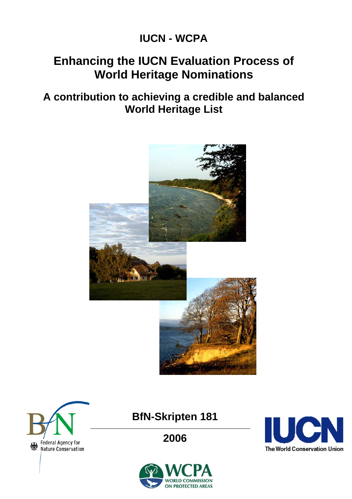# **IUCN - WCPA**

# **Enhancing the IUCN Evaluation Process of World Heritage Nominations**

# **A contribution to achieving a credible and balanced World Heritage List**





# **BfN-Skripten 181**

**2006** 



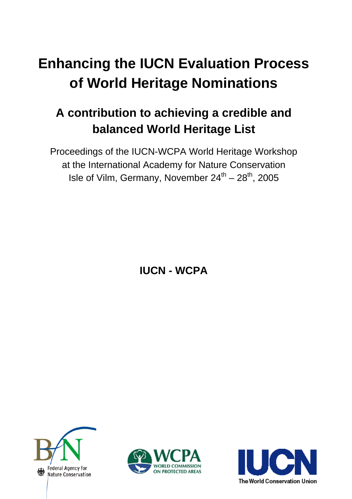# **Enhancing the IUCN Evaluation Process of World Heritage Nominations**

# **A contribution to achieving a credible and balanced World Heritage List**

Proceedings of the IUCN-WCPA World Heritage Workshop at the International Academy for Nature Conservation Isle of Vilm, Germany, November  $24^{th} - 28^{th}$ , 2005

**IUCN - WCPA** 





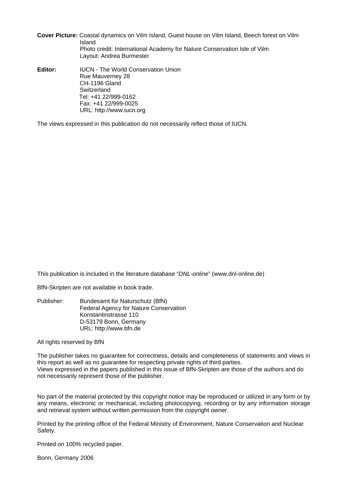**Cover Picture:** Coastal dynamics on Vilm Island, Guest house on Vilm Island, Beech forest on Vilm Island Photo credit: International Academy for Nature Conservation Isle of Vilm Layout: Andrea Burmester

**Editor:** IUCN - The World Conservation Union Rue Mauverney 28 CH-1196 Gland **Switzerland** Tel: +41 22/999-0162 Fax: +41 22/999-0025 URL: http://www.iucn.org

The views expressed in this publication do not necessarily reflect those of IUCN.

This publication is included in the literature database "*DNL-online*" (www.dnl-online.de)

BfN-Skripten are not available in book trade.

Publisher: Bundesamt für Naturschutz (BfN) Federal Agency for Nature Conservation Konstantinstrasse 110 D-53179 Bonn, Germany URL: http://www.bfn.de

All rights reserved by BfN

The publisher takes no guarantee for correctness, details and completeness of statements and views in this report as well as no guarantee for respecting private rights of third parties. Views expressed in the papers published in this issue of BfN-Skripten are those of the authors and do not necessarily represent those of the publisher.

No part of the material protected by this copyright notice may be reproduced or utilized in any form or by any means, electronic or mechanical, including photocopying, recording or by any information storage and retrieval system without written permission from the copyright owner.

Printed by the printing office of the Federal Ministry of Environment, Nature Conservation and Nuclear Safety.

Printed on 100% recycled paper.

Bonn, Germany 2006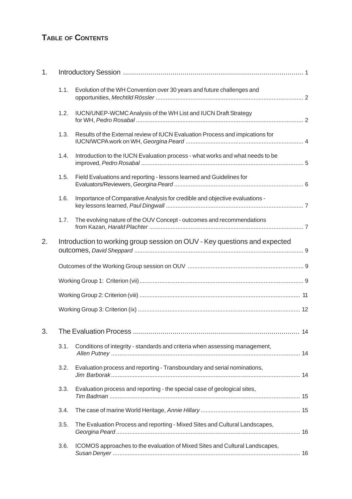# **TABLE OF CONTENTS**

| 1. |      |                                                                               |  |
|----|------|-------------------------------------------------------------------------------|--|
|    | 1.1. | Evolution of the WH Convention over 30 years and future challenges and        |  |
|    | 1.2. | IUCN/UNEP-WCMC Analysis of the WH List and IUCN Draft Strategy                |  |
|    | 1.3. | Results of the External review of IUCN Evaluation Process and impications for |  |
|    | 1.4. | Introduction to the IUCN Evaluation process - what works and what needs to be |  |
|    | 1.5. | Field Evaluations and reporting - lessons learned and Guidelines for          |  |
|    | 1.6. | Importance of Comparative Analysis for credible and objective evaluations -   |  |
|    | 1.7. | The evolving nature of the OUV Concept - outcomes and recommendations         |  |
| 2. |      | Introduction to working group session on OUV - Key questions and expected     |  |
|    |      |                                                                               |  |
|    |      |                                                                               |  |
|    |      |                                                                               |  |
|    |      |                                                                               |  |
| 3. |      |                                                                               |  |
|    | 3.1. | Conditions of integrity - standards and criteria when assessing management,   |  |
|    | 3.2. | Evaluation process and reporting - Transboundary and serial nominations,      |  |
|    | 3.3. | Evaluation process and reporting - the special case of geological sites,      |  |
|    | 3.4. |                                                                               |  |
|    | 3.5. | The Evaluation Process and reporting - Mixed Sites and Cultural Landscapes,   |  |
|    | 3.6. | ICOMOS approaches to the evaluation of Mixed Sites and Cultural Landscapes,   |  |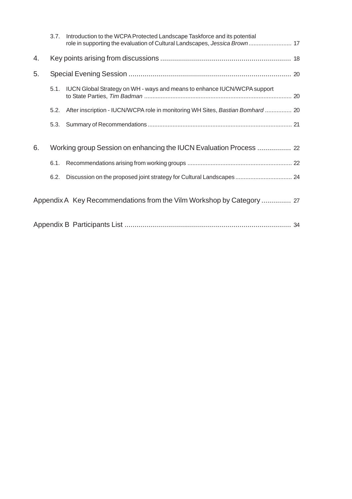|    | 3.7. | Introduction to the WCPA Protected Landscape Taskforce and its potential<br>role in supporting the evaluation of Cultural Landscapes, Jessica Brown  17 |
|----|------|---------------------------------------------------------------------------------------------------------------------------------------------------------|
| 4. |      |                                                                                                                                                         |
| 5. |      |                                                                                                                                                         |
|    | 5.1. | IUCN Global Strategy on WH - ways and means to enhance IUCN/WCPA support                                                                                |
|    | 5.2. | After inscription - IUCN/WCPA role in monitoring WH Sites, Bastian Bomhard  20                                                                          |
|    | 5.3. |                                                                                                                                                         |
| 6. |      | Working group Session on enhancing the IUCN Evaluation Process  22                                                                                      |
|    |      |                                                                                                                                                         |
|    | 6.2. | Discussion on the proposed joint strategy for Cultural Landscapes  24                                                                                   |
|    |      | Appendix A Key Recommendations from the Vilm Workshop by Category  27                                                                                   |
|    |      |                                                                                                                                                         |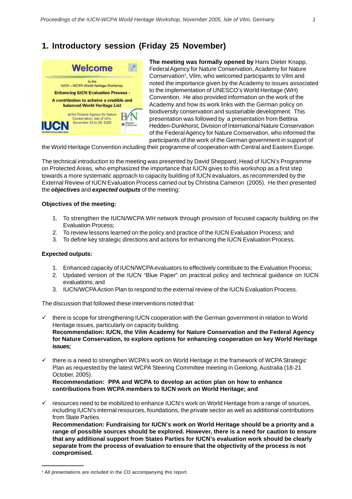# **1. Introductory session (Friday 25 November)**



**The meeting was formally opened by** Hans Dieter Knapp, Federal Agency for Nature Conservation, Academy for Nature Conservation<sup>1</sup>, Vilm, who welcomed participants to Vilm and noted the importance given by the Academy to issues associated to the implementation of UNESCO's World Heritage (WH) Convention. He also provided information on the work of the Academy and how its work links with the German policy on biodiversity conservation and sustainable development. This presentation was followed by a presentation from Bettina Hedden-Dunkhorst, Division of International Nature Conservation of the Federal Agency for Nature Conservation, who informed the participants of the work of the German government in support of

the World Heritage Convention including their programme of cooperation with Central and Eastern Europe.

The technical introduction to the meeting was presented by David Sheppard, Head of IUCN's Programme on Protected Areas, who emphasized the importance that IUCN gives to this workshop as a first step towards a more systematic approach to capacity building of IUCN evaluators, as recommended by the External Review of IUCN Evaluation Process carried out by Christina Cameron (2005). He then presented the *objectives* and *expected outputs* of the meeting:

#### **Objectives of the meeting:**

- 1. To strengthen the IUCN/WCPA WH network through provision of focused capacity building on the Evaluation Process;
- 2. To review lessons learned on the policy and practice of the IUCN Evaluation Process; and
- 3. To define key strategic directions and actions for enhancing the IUCN Evaluation Process.

#### **Expected outputs:**

- 1. Enhanced capacity of IUCN/WCPA evaluators to effectively contribute to the Evaluation Process;
- 2. Updated version of the IUCN "Blue Paper" on practical policy and technical guidance on IUCN evaluations; and
- 3. IUCN/WCPA Action Plan to respond to the external review of the IUCN Evaluation Process.

The discussion that followed these interventions noted that:

- there is scope for strengthening IUCN cooperation with the German government in relation to World Heritage issues, particularly on capacity building. **Recommendation: IUCN, the Vilm Academy for Nature Conservation and the Federal Agency for Nature Conservation, to explore options for enhancing cooperation on key World Heritage issues;**
- $\checkmark$  there is a need to strengthen WCPA's work on World Heritage in the framework of WCPA Strategic Plan as requested by the latest WCPA Steering Committee meeting in Geelong, Australia (18-21 October, 2005).

**Recommendation: PPA and WCPA to develop an action plan on how to enhance contributions from WCPA members to IUCN work on World Heritage; and**

9 resources need to be mobilized to enhance IUCN's work on World Heritage from a range of sources, including IUCN's internal resources, foundations, the private sector as well as additional contributions from State Parties.

**Recommendation: Fundraising for IUCN's work on World Heritage should be a priority and a range of possible sources should be explored. However, there is a need for caution to ensure that any additional support from States Parties for IUCN's evaluation work should be clearly separate from the process of evaluation to ensure that the objectivity of the process is not compromised.**

<sup>&</sup>lt;sup>1</sup> All presentations are included in the CD accompanying this report.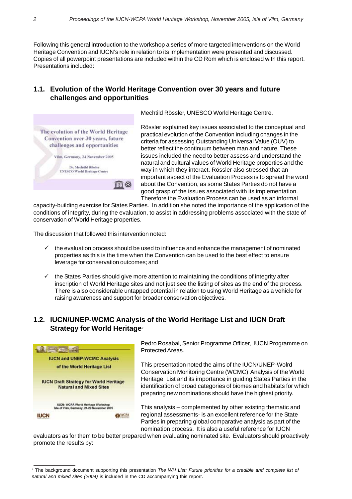Following this general introduction to the workshop a series of more targeted interventions on the World Heritage Convention and IUCN's role in relation to its implementation were presented and discussed. Copies of all powerpoint presentations are included within the CD Rom which is enclosed with this report. Presentations included:

#### **1.1. Evolution of the World Heritage Convention over 30 years and future challenges and opportunities**



Mechtild Rössler, UNESCO World Heritage Centre.

Rössler explained key issues associated to the conceptual and practical evolution of the Convention including changes in the criteria for assessing Outstanding Universal Value (OUV) to better reflect the continuum between man and nature. These issues included the need to better assess and understand the natural and cultural values of World Heritage properties and the way in which they interact. Rössler also stressed that an important aspect of the Evaluation Process is to spread the word about the Convention, as some States Parties do not have a good grasp of the issues associated with its implementation. Therefore the Evaluation Process can be used as an informal

capacity-building exercise for States Parties. In addition she noted the importance of the application of the conditions of integrity, during the evaluation, to assist in addressing problems associated with the state of conservation of World Heritage properties.

The discussion that followed this intervention noted:

- 9 the evaluation process should be used to influence and enhance the management of nominated properties as this is the time when the Convention can be used to the best effect to ensure leverage for conservation outcomes; and
- $\checkmark$  the States Parties should give more attention to maintaining the conditions of integrity after inscription of World Heritage sites and not just see the listing of sites as the end of the process. There is also considerable untapped potential in relation to using World Heritage as a vehicle for raising awareness and support for broader conservation objectives.

#### **1.2. IUCN/UNEP-WCMC Analysis of the World Heritage List and IUCN Draft Strategy for World Heritage<sup>2</sup>**



Pedro Rosabal, Senior Programme Officer, IUCN Programme on Protected Areas.

This presentation noted the aims of the IUCN/UNEP-Wolrd Conservation Monitoring Centre (WCMC) Analysis of the World Heritage List and its importance in guiding States Parties in the identification of broad categories of biomes and habitats for which preparing new nominations should have the highest priority.

This analysis – complemented by other existing thematic and regional assessments- is an excellent reference for the State Parties in preparing global comparative analysis as part of the nomination process. It is also a useful reference for IUCN

evaluators as for them to be better prepared when evaluating nominated site. Evaluators should proactively promote the results by:

<sup>2</sup> The background document supporting this presentation *The WH List: Future priorities for a credible and complete list of natural and mixed sites (2004)* is included in the CD accompanying this report.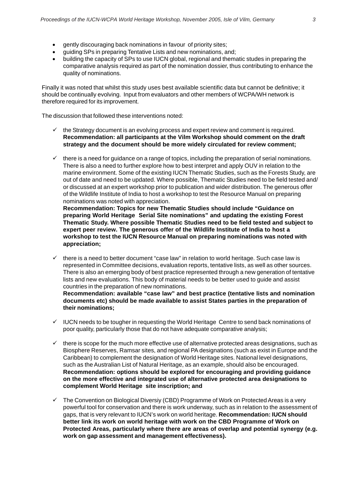- gently discouraging back nominations in favour of priority sites;
- guiding SPs in preparing Tentative Lists and new nominations, and;
- building the capacity of SPs to use IUCN global, regional and thematic studes in preparing the comparative analysis required as part of the nomination dossier, thus contributing to enhance the quality of nominations.

Finally it was noted that whilst this study uses best available scientific data but cannot be definitive; it should be continually evolving. Input from evaluators and other members of WCPA/WH network is therefore required for its improvement.

The discussion that followed these interventions noted:

- $\checkmark$  the Strategy document is an evolving process and expert review and comment is required. **Recommendation: all participants at the Vilm Workshop should comment on the draft strategy and the document should be more widely circulated for review comment;**
- $\checkmark$  there is a need for guidance on a range of topics, including the preparation of serial nominations. There is also a need to further explore how to best interpret and apply OUV in relation to the marine environment. Some of the existing IUCN Thematic Studies, such as the Forests Study, are out of date and need to be updated. Where possible, Thematic Studies need to be field tested and/ or discussed at an expert workshop prior to publication and wider distribution. The generous offer of the Wildlife Institute of India to host a workshop to test the Resource Manual on preparing nominations was noted with appreciation.

**Recommendation: Topics for new Thematic Studies should include "Guidance on preparing World Heritage Serial Site nominations" and updating the existing Forest Thematic Study. Where possible Thematic Studies need to be field tested and subject to expert peer review. The generous offer of the Wildlife Institute of India to host a workshop to test the IUCN Resource Manual on preparing nominations was noted with appreciation;**

 $\checkmark$  there is a need to better document "case law" in relation to world heritage. Such case law is represented in Committee decisions, evaluation reports, tentative lists, as well as other sources. There is also an emerging body of best practice represented through a new generation of tentative lists and new evaluations. This body of material needs to be better used to guide and assist countries in the preparation of new nominations.

**Recommendation: available "case law" and best practice (tentative lists and nomination documents etc) should be made available to assist States parties in the preparation of their nominations;**

- $\checkmark$  IUCN needs to be tougher in requesting the World Heritage Centre to send back nominations of poor quality, particularly those that do not have adequate comparative analysis;
- $\checkmark$  there is scope for the much more effective use of alternative protected areas designations, such as Biosphere Reserves, Ramsar sites, and regional PA designations (such as exist in Europe and the Caribbean) to complement the designation of World Heritage sites. National level designations, such as the Australian List of Natural Heritage, as an example, should also be encouraged. **Recommendation: options should be explored for encouraging and providing guidance on the more effective and integrated use of alternative protected area designations to complement World Heritage site inscription; and**
- $\checkmark$  The Convention on Biological Diversiy (CBD) Programme of Work on Protected Areas is a very powerful tool for conservation and there is work underway, such as in relation to the assessment of gaps, that is very relevant to IUCN's work on world heritage. **Recommendation: IUCN should better link its work on world heritage with work on the CBD Programme of Work on Protected Areas, particularly where there are areas of overlap and potential synergy (e.g. work on gap assessment and management effectiveness).**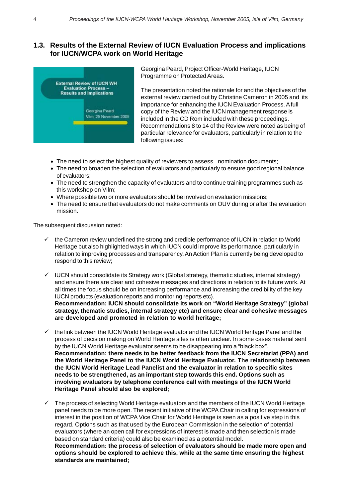#### **1.3. Results of the External Review of IUCN Evaluation Process and implications for IUCN/WCPA work on World Heritage**



Georgina Peard, Project Officer-World Heritage, IUCN Programme on Protected Areas.

The presentation noted the rationale for and the objectives of the external review carried out by Christine Cameron in 2005 and its importance for enhancing the IUCN Evaluation Process. A full copy of the Review and the IUCN management response is included in the CD Rom included with these proceedings. Recommendations 8 to 14 of the Review were noted as being of particular relevance for evaluators, particularly in relation to the following issues:

- The need to select the highest quality of reviewers to assess nomination documents;
- The need to broaden the selection of evaluators and particularly to ensure good regional balance of evaluators;
- The need to strengthen the capacity of evaluators and to continue training programmes such as this workshop on Vilm;
- Where possible two or more evaluators should be involved on evaluation missions;
- The need to ensure that evaluators do not make comments on OUV during or after the evaluation mission.

The subsequent discussion noted:

**standards are maintained;**

- 9 the Cameron review underlined the strong and credible performance of IUCN in relation to World Heritage but also highlighted ways in which IUCN could improve its performance, particularly in relation to improving processes and transparency. An Action Plan is currently being developed to respond to this review;
- $\checkmark$  IUCN should consolidate its Strategy work (Global strategy, thematic studies, internal strategy) and ensure there are clear and cohesive messages and directions in relation to its future work. At all times the focus should be on increasing performance and increasing the credibility of the key IUCN products (evaluation reports and monitoring reports etc). **Recommendation: IUCN should consolidate its work on "World Heritage Strategy" (global strategy, thematic studies, internal strategy etc) and ensure clear and cohesive messages are developed and promoted in relation to world heritage;**
- $\checkmark$  the link between the IUCN World Heritage evaluator and the IUCN World Heritage Panel and the process of decision making on World Heritage sites is often unclear. In some cases material sent by the IUCN World Heritage evaluator seems to be disappearing into a "black box". **Recommendation: there needs to be better feedback from the IUCN Secretariat (PPA) and the World Heritage Panel to the IUCN World Heritage Evaluator. The relationship between the IUCN World Heritage Lead Panelist and the evaluator in relation to specific sites needs to be strengthened, as an important step towards this end. Options such as involving evaluators by telephone conference call with meetings of the IUCN World Heritage Panel should also be explored;**
- $\checkmark$  The process of selecting World Heritage evaluators and the members of the IUCN World Heritage panel needs to be more open. The recent initiative of the WCPA Chair in calling for expressions of interest in the position of WCPA Vice Chair for World Heritage is seen as a positive step in this regard. Options such as that used by the European Commission in the selection of potential evaluators (where an open call for expressions of interest is made and then selection is made based on standard criteria) could also be examined as a potential model. **Recommendation: the process of selection of evaluators should be made more open and options should be explored to achieve this, while at the same time ensuring the highest**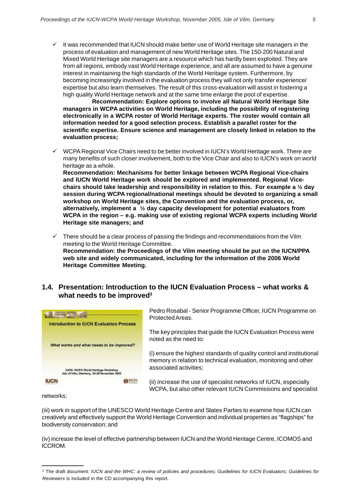$\checkmark$  It was recommended that IUCN should make better use of World Heritage site managers in the process of evaluation and management of new World Heritage sites. The 150-200 Natural and Mixed World Heritage site managers are a resource which has hardly been exploited. They are from all regions, embody vast World Heritage experience, and all are assumed to have a genuine interest in maintaining the high standards of the World Heritage system. Furthermore, by becoming increasingly involved in the evaluation process they will not only transfer experience/ expertise but also learn themselves. The result of this cross-evaluation will assist in fostering a high quality World Heritage network and at the same time enlarge the pool of expertise.

**Recommendation: Explore options to involve all Natural World Heritage Site managers in WCPA activities on World Heritage, including the possibility of registering electronically in a WCPA roster of World Heritage experts. The roster would contain all information needed for a good selection process. Establish a parallel roster for the scientific expertise. Ensure science and management are closely linked in relation to the evaluation process;**

 $\checkmark$  WCPA Regional Vice Chairs need to be better involved in IUCN's World Heritage work. There are many benefits of such closer involvement, both to the Vice Chair and also to IUCN's work on world heritage as a whole.

**Recommendation: Mechanisms for better linkage between WCPA Regional Vice-chairs and IUCN World Heritage work should be explored and implemented. Regional Vicechairs should take leadership and responsibility in relation to this. For example a ½ day session during WCPA regional/national meetings should be devoted to organizing a small workshop on World Heritage sites, the Convention and the evaluation process, or, alternatively, implement a ½ day capacity development for potential evaluators from WCPA in the region – e.g. making use of existing regional WCPA experts including World Heritage site managers; and**

 $\checkmark$  There should be a clear process of passing the findings and recommendations from the Vilm meeting to the World Heritage Committee. **Recommendation: the Proceedings of the Vilm meeting should be put on the IUCN/PPA web site and widely communicated, including for the information of the 2006 World Heritage Committee Meeting.**

#### **1.4. Presentation: Introduction to the IUCN Evaluation Process – what works & what needs to be improved3**



networks;

(iii) work in support of the UNESCO World Heritage Centre and States Parties to examine how IUCN can creatively and effectively support the World Heritage Convention and individual properties as "flagships" for biodiversity conservation; and

(iv) increase the level of effective partnership between IUCN and the World Heritage Centre, ICOMOS and ICCROM.

<sup>3</sup> The draft document: *IUCN and the WHC: a review of policies and procedures; Guidelines for IUCN Evaluators; Guidelines for Reviewers* is included in the CD accompanying this report.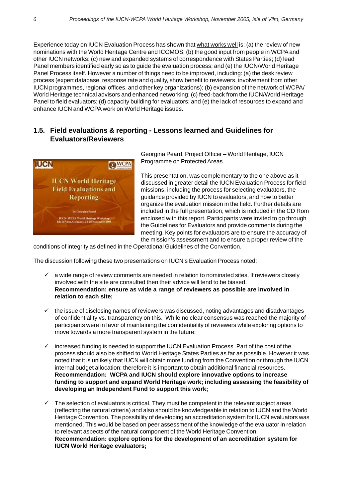Experience today on IUCN Evaluation Process has shown that what works well is: (a) the review of new nominations with the World Heritage Centre and ICOMOS; (b) the good input from people in WCPA and other IUCN networks; (c) new and expanded systems of correspondence with States Parties; (d) lead Panel members identified early so as to guide the evaluation process; and (e) the IUCN/World Heritage Panel Process itself. However a number of things need to be improved, including: (a) the desk review process (expert database, response rate and quality, show benefit to reviewers, involvement from other IUCN programmes, regional offices, and other key organizations); (b) expansion of the network of WCPA/ World Heritage technical advisors and enhanced networking; (c) feed-back from the IUCN/World Heritage Panel to field evaluators; (d) capacity building for evaluators; and (e) the lack of resources to expand and enhance IUCN and WCPA work on World Heritage issues.

#### **1.5. Field evaluations & reporting - Lessons learned and Guidelines for Evaluators/Reviewers**



Georgina Peard, Project Officer – World Heritage, IUCN Programme on Protected Areas.

This presentation, was complementary to the one above as it discussed in greater detail the IUCN Evaluation Process for field missions, including the process for selecting evaluators, the guidance provided by IUCN to evaluators, and how to better organize the evaluation mission in the field. Further details are included in the full presentation, which is included in the CD Rom enclosed with this report. Participants were invited to go through the Guidelines for Evaluators and provide comments during the meeting. Key points for evaluators are to ensure the accuracy of the mission's assessment and to ensure a proper review of the

conditions of integrity as defined in the Operational Guidelines of the Convention.

The discussion following these two presentations on IUCN's Evaluation Process noted:

- a wide range of review comments are needed in relation to nominated sites. If reviewers closely involved with the site are consulted then their advice will tend to be biased. **Recommendation: ensure as wide a range of reviewers as possible are involved in relation to each site;**
- $\checkmark$  the issue of disclosing names of reviewers was discussed, noting advantages and disadvantages of confidentiality vs. transparency on this. While no clear consensus was reached the majority of participants were in favor of maintaining the confidentiality of reviewers while exploring options to move towards a more transparent system in the future;
- increased funding is needed to support the IUCN Evaluation Process. Part of the cost of the process should also be shifted to World Heritage States Parties as far as possible. However it was noted that it is unlikely that IUCN will obtain more funding from the Convention or through the IUCN internal budget allocation; therefore it is important to obtain additional financial resources. **Recommendation: WCPA and IUCN should explore innovative options to increase funding to support and expand World Heritage work; including assessing the feasibility of developing an Independent Fund to support this work;**
- $\checkmark$  The selection of evaluators is critical. They must be competent in the relevant subject areas (reflecting the natural criteria) and also should be knowledgeable in relation to IUCN and the World Heritage Convention. The possibility of developing an accreditation system for IUCN evaluators was mentioned. This would be based on peer assessment of the knowledge of the evaluator in relation to relevant aspects of the natural component of the World Heritage Convention. **Recommendation: explore options for the development of an accreditation system for IUCN World Heritage evaluators;**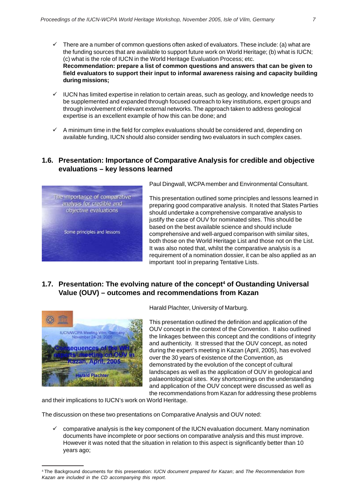- $\checkmark$  There are a number of common questions often asked of evaluators. These include: (a) what are the funding sources that are available to support future work on World Heritage; (b) what is IUCN; (c) what is the role of IUCN in the World Heritage Evaluation Process; etc. **Recommendation: prepare a list of common questions and answers that can be given to field evaluators to support their input to informal awareness raising and capacity building during missions;**
- $\checkmark$  IUCN has limited expertise in relation to certain areas, such as geology, and knowledge needs to be supplemented and expanded through focused outreach to key institutions, expert groups and through involvement of relevant external networks. The approach taken to address geological expertise is an excellent example of how this can be done; and
- $\checkmark$  A minimum time in the field for complex evaluations should be considered and, depending on available funding, IUCN should also consider sending two evaluators in such complex cases.

#### **1.6. Presentation: Importance of Comparative Analysis for credible and objective evaluations – key lessons learned**



Paul Dingwall, WCPA member and Environmental Consultant.

This presentation outlined some principles and lessons learned in preparing good comparative analysis. It noted that States Parties should undertake a comprehensive comparative analysis to justify the case of OUV for nominated sites. This should be based on the best available science and should include comprehensive and well-argued comparison with similar sites, both those on the World Heritage List and those not on the List. It was also noted that, whilst the comparative analysis is a requirement of a nomination dossier, it can be also applied as an important tool in preparing Tentative Lists.

#### **1.7. Presentation: The evolving nature of the concept4 of Oustanding Universal Value (OUV) – outcomes and recommendations from Kazan**



Harald Plachter, University of Marburg.

This presentation outlined the definition and application of the OUV concept in the context of the Convention. It also outlined the linkages between this concept and the conditions of integrity and authenticity. It stressed that the OUV concept, as noted during the expert's meeting in Kazan (April, 2005), has evolved over the 30 years of existence of the Convention, as demonstrated by the evolution of the concept of cultural landscapes as well as the application of OUV in geological and palaeontological sites. Key shortcomings on the understanding and application of the OUV concept were discussed as well as the recommendations from Kazan for addressing these problems

and their implications to IUCN's work on World Heritage.

The discussion on these two presentations on Comparative Analysis and OUV noted:

 $\checkmark$  comparative analysis is the key component of the IUCN evaluation document. Many nomination documents have incomplete or poor sections on comparative analysis and this must improve. However it was noted that the situation in relation to this aspect is significantly better than 10 years ago;

<sup>4</sup> The Background documents for this presentation: *IUCN document prepared for Kazan*; and *The Recommendation from Kazan are included in the CD accompanying this report.*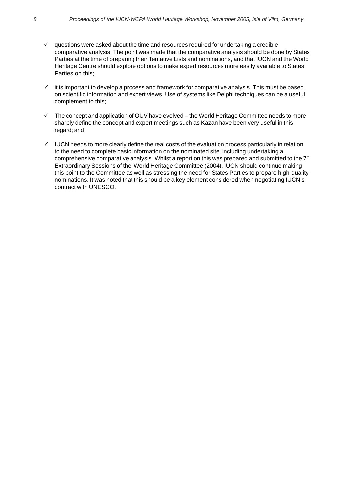- $\checkmark$  questions were asked about the time and resources required for undertaking a credible comparative analysis. The point was made that the comparative analysis should be done by States Parties at the time of preparing their Tentative Lists and nominations, and that IUCN and the World Heritage Centre should explore options to make expert resources more easily available to States Parties on this;
- $\checkmark$  it is important to develop a process and framework for comparative analysis. This must be based on scientific information and expert views. Use of systems like Delphi techniques can be a useful complement to this;
- $\checkmark$  The concept and application of OUV have evolved the World Heritage Committee needs to more sharply define the concept and expert meetings such as Kazan have been very useful in this regard; and
- $\checkmark$  IUCN needs to more clearly define the real costs of the evaluation process particularly in relation to the need to complete basic information on the nominated site, including undertaking a comprehensive comparative analysis. Whilst a report on this was prepared and submitted to the  $7<sup>th</sup>$ Extraordinary Sessions of the World Heritage Committee (2004), IUCN should continue making this point to the Committee as well as stressing the need for States Parties to prepare high-quality nominations. It was noted that this should be a key element considered when negotiating IUCN's contract with UNESCO.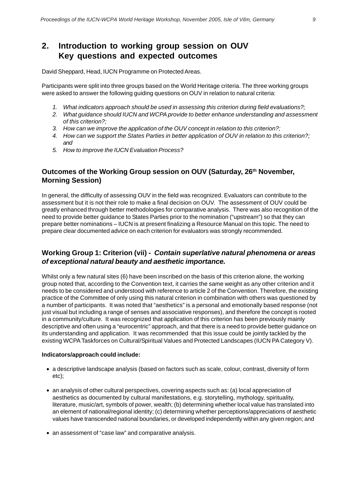### **2. Introduction to working group session on OUV Key questions and expected outcomes**

David Sheppard, Head, IUCN Programme on Protected Areas.

Participants were split into three groups based on the World Heritage criteria. The three working groups were asked to answer the following guiding questions on OUV in relation to natural criteria:

- *1. What indicators approach should be used in assessing this criterion during field evaluations?;*
- *2. What guidance should IUCN and WCPA provide to better enhance understanding and assessment of this criterion?;*
- *3. How can we improve the application of the OUV concept in relation to this criterion?;*
- *4. How can we support the States Parties in better application of OUV in relation to this criterion?; and*
- *5. How to improve the IUCN Evaluation Process?*

#### **Outcomes of the Working Group session on OUV (Saturday, 26th November, Morning Session)**

In general, the difficulty of assessing OUV in the field was recognized. Evaluators can contribute to the assessment but it is not their role to make a final decision on OUV. The assessment of OUV could be greatly enhanced through better methodologies for comparative analysis. There was also recognition of the need to provide better guidance to States Parties prior to the nomination ("upstream") so that they can prepare better nominations – IUCN is at present finalizing a Resource Manual on this topic. The need to prepare clear documented advice on each criterion for evaluators was strongly recommended.

#### **Working Group 1: Criterion (vii) -** *Contain superlative natural phenomena or areas of exceptional natural beauty and aesthetic importance.*

Whilst only a few natural sites (6) have been inscribed on the basis of this criterion alone, the working group noted that, according to the Convention text, it carries the same weight as any other criterion and it needs to be considered and understood with reference to article 2 of the Convention. Therefore, the existing practice of the Committee of only using this natural criterion in combination with others was questioned by a number of participants. It was noted that "aesthetics" is a personal and emotionally based response (not just visual but including a range of senses and associative responses), and therefore the concept is rooted in a community/culture. It was recognized that application of this criterion has been previously mainly descriptive and often using a "eurocentric" approach, and that there is a need to provide better guidance on its understanding and application. It was recommended that this issue could be jointly tackled by the existing WCPA Taskforces on Cultural/Spiritual Values and Protected Landscapes (IUCN PA Category V).

#### **Indicators/approach could include:**

- a descriptive landscape analysis (based on factors such as scale, colour, contrast, diversity of form etc);
- an analysis of other cultural perspectives, covering aspects such as: (a) local appreciation of aesthetics as documented by cultural manifestations, e.g. storytelling, mythology, spirituality, literature, music/art, symbols of power, wealth; (b) determining whether local value has translated into an element of national/regional identity; (c) determining whether perceptions/appreciations of aesthetic values have transcended national boundaries, or developed independently within any given region; and
- an assessment of "case law" and comparative analysis.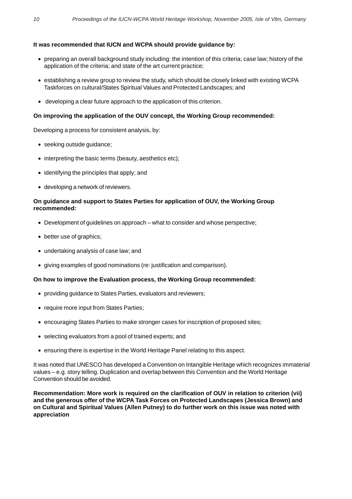#### **It was recommended that IUCN and WCPA should provide guidance by:**

- preparing an overall background study including: the intention of this criteria; case law; history of the application of the criteria; and state of the art current practice;
- establishing a review group to review the study, which should be closely linked with existing WCPA Taskforces on cultural/States Spiritual Values and Protected Landscapes; and
- developing a clear future approach to the application of this criterion.

#### **On improving the application of the OUV concept, the Working Group recommended:**

Developing a process for consistent analysis, by:

- seeking outside guidance;
- interpreting the basic terms (beauty, aesthetics etc);
- identifying the principles that apply; and
- developing a network of reviewers.

#### **On guidance and support to States Parties for application of OUV, the Working Group recommended:**

- Development of guidelines on approach what to consider and whose perspective;
- better use of graphics;
- undertaking analysis of case law; and
- giving examples of good nominations (re: justification and comparison).

#### **On how to improve the Evaluation process, the Working Group recommended:**

- providing guidance to States Parties, evaluators and reviewers;
- require more input from States Parties;
- encouraging States Parties to make stronger cases for inscription of proposed sites;
- selecting evaluators from a pool of trained experts; and
- ensuring there is expertise in the World Heritage Panel relating to this aspect.

It was noted that UNESCO has developed a Convention on Intangible Heritage which recognizes immaterial values – e.g. story telling. Duplication and overlap between this Convention and the World Heritage Convention should be avoided.

**Recommendation: More work is required on the clarification of OUV in relation to criterion (vii) and the generous offer of the WCPA Task Forces on Protected Landscapes (Jessica Brown) and on Cultural and Spiritual Values (Allen Putney) to do further work on this issue was noted with appreciation**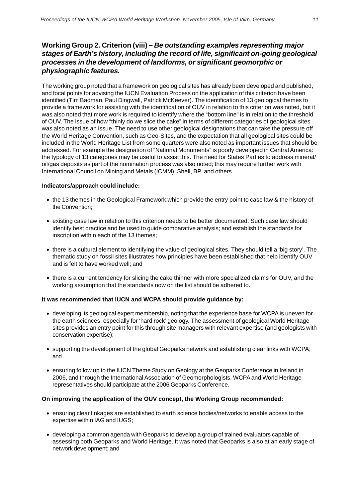#### **Working Group 2. Criterion (viii) –** *Be outstanding examples representing major stages of Earth's history, including the record of life, significant on-going geological processes in the development of landforms, or significant geomorphic or physiographic features.*

The working group noted that a framework on geological sites has already been developed and published, and focal points for advising the IUCN Evaluation Process on the application of this criterion have been identified (Tim Badman, Paul Dingwall, Patrick McKeever). The identification of 13 geological themes to provide a framework for assisting with the identification of OUV in relation to this criterion was noted, but it was also noted that more work is required to identify where the "bottom line" is in relation to the threshold of OUV. The issue of how "thinly do we slice the cake" in terms of different categories of geological sites was also noted as an issue. The need to use other geological designations that can take the pressure off the World Heritage Convention, such as Geo-Sites, and the expectation that all geological sites could be included in the World Heritage List from some quarters were also noted as important issues that should be addressed. For example the designation of "National Monuments" is poorly developed in Central America: the typology of 13 categories may be useful to assist this. The need for States Parties to address mineral/ oil/gas deposits as part of the nomination process was also noted; this may require further work with International Council on Mining and Metals (ICMM), Shell, BP and others.

#### I**ndicators/approach could include:**

- the 13 themes in the Geological Framework which provide the entry point to case law & the history of the Convention;
- existing case law in relation to this criterion needs to be better documented. Such case law should identify best practice and be used to guide comparative analysis; and establish the standards for inscription within each of the 13 themes;
- there is a cultural element to identifying the value of geological sites. They should tell a 'big story'. The thematic study on fossil sites illustrates how principles have been established that help identify OUV and is felt to have worked well; and
- there is a current tendency for slicing the cake thinner with more specialized claims for OUV, and the working assumption that the standards now on the list should be adhered to.

#### **It was recommended that IUCN and WCPA should provide guidance by:**

- developing its geological expert membership, noting that the experience base for WCPA is uneven for the earth sciences, especially for 'hard rock' geology. The assessment of geological World Heritage sites provides an entry point for this through site managers with relevant expertise (and geologists with conservation expertise);
- supporting the development of the global Geoparks network and establishing clear links with WCPA; and
- ensuring follow up to the IUCN Theme Study on Geology at the Geoparks Conference in Ireland in 2006, and through the International Association of Geomorphologists. WCPA and World Heritage representatives should participate at the 2006 Geoparks Conference.

#### **On improving the application of the OUV concept, the Working Group recommended:**

- ensuring clear linkages are established to earth science bodies/networks to enable access to the expertise within IAG and IUGS;
- developing a common agenda with Geoparks to develop a group of trained evaluators capable of assessing both Geoparks and World Heritage. It was noted that Geoparks is also at an early stage of network development; and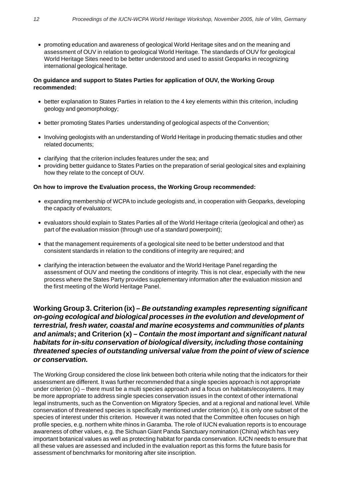• promoting education and awareness of geological World Heritage sites and on the meaning and assessment of OUV in relation to geological World Heritage. The standards of OUV for geological World Heritage Sites need to be better understood and used to assist Geoparks in recognizing international geological heritage.

#### **On guidance and support to States Parties for application of OUV, the Working Group recommended:**

- better explanation to States Parties in relation to the 4 key elements within this criterion, including geology and geomorphology;
- better promoting States Parties understanding of geological aspects of the Convention:
- Involving geologists with an understanding of World Heritage in producing thematic studies and other related documents;
- clarifying that the criterion includes features under the sea; and
- providing better guidance to States Parties on the preparation of serial geological sites and explaining how they relate to the concept of OUV.

#### **On how to improve the Evaluation process, the Working Group recommended:**

- expanding membership of WCPA to include geologists and, in cooperation with Geoparks, developing the capacity of evaluators;
- evaluators should explain to States Parties all of the World Heritage criteria (geological and other) as part of the evaluation mission (through use of a standard powerpoint);
- that the management requirements of a geological site need to be better understood and that consistent standards in relation to the conditions of integrity are required; and
- clarifying the interaction between the evaluator and the World Heritage Panel regarding the assessment of OUV and meeting the conditions of integrity. This is not clear, especially with the new process where the States Party provides supplementary information after the evaluation mission and the first meeting of the World Heritage Panel.

**Working Group 3. Criterion (ix) –** *Be outstanding examples representing significant on-going ecological and biological processes in the evolution and development of terrestrial, fresh water, coastal and marine ecosystems and communities of plants and animals***; and Criterion (x) –** *Contain the most important and significant natural habitats for in-situ conservation of biological diversity, including those containing threatened species of outstanding universal value from the point of view of science or conservation.*

The Working Group considered the close link between both criteria while noting that the indicators for their assessment are different. It was further recommended that a single species approach is not appropriate under criterion (x) – there must be a multi species approach and a focus on habitats/ecosystems. It may be more appropriate to address single species conservation issues in the context of other international legal instruments, such as the Convention on Migratory Species, and at a regional and national level. While conservation of threatened species is specifically mentioned under criterion (x), it is only one subset of the species of interest under this criterion. However it was noted that the Committee often focuses on high profile species, e.g. northern white rhinos in Garamba. The role of IUCN evaluation reports is to encourage awareness of other values, e.g. the Sichuan Giant Panda Sanctuary nomination (China) which has very important botanical values as well as protecting habitat for panda conservation. IUCN needs to ensure that all these values are assessed and included in the evaluation report as this forms the future basis for assessment of benchmarks for monitoring after site inscription.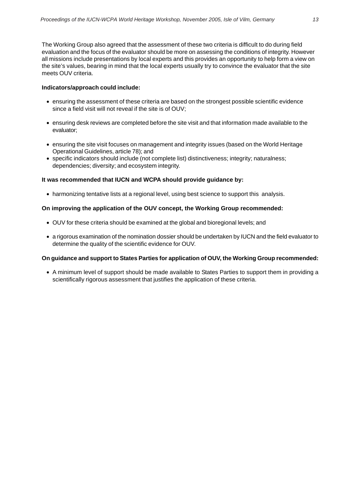The Working Group also agreed that the assessment of these two criteria is difficult to do during field evaluation and the focus of the evaluator should be more on assessing the conditions of integrity. However all missions include presentations by local experts and this provides an opportunity to help form a view on the site's values, bearing in mind that the local experts usually try to convince the evaluator that the site meets OUV criteria.

#### **Indicators/approach could include:**

- ensuring the assessment of these criteria are based on the strongest possible scientific evidence since a field visit will not reveal if the site is of OUV;
- ensuring desk reviews are completed before the site visit and that information made available to the evaluator;
- ensuring the site visit focuses on management and integrity issues (based on the World Heritage Operational Guidelines, article 78); and
- specific indicators should include (not complete list) distinctiveness; integrity; naturalness; dependencies; diversity; and ecosystem integrity.

#### **It was recommended that IUCN and WCPA should provide guidance by:**

• harmonizing tentative lists at a regional level, using best science to support this analysis.

#### **On improving the application of the OUV concept, the Working Group recommended:**

- OUV for these criteria should be examined at the global and bioregional levels; and
- a rigorous examination of the nomination dossier should be undertaken by IUCN and the field evaluator to determine the quality of the scientific evidence for OUV.

#### **On guidance and support to States Parties for application of OUV, the Working Group recommended:**

• A minimum level of support should be made available to States Parties to support them in providing a scientifically rigorous assessment that justifies the application of these criteria.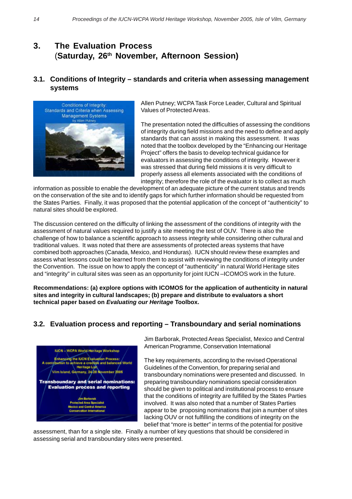### **3. The Evaluation Process** (**Saturday, 26th November, Afternoon Session)**

#### **3.1. Conditions of Integrity – standards and criteria when assessing management systems**



Allen Putney; WCPA Task Force Leader, Cultural and Spiritual Values of Protected Areas.

The presentation noted the difficulties of assessing the conditions of integrity during field missions and the need to define and apply standards that can assist in making this assessment. It was noted that the toolbox developed by the "Enhancing our Heritage Project" offers the basis to develop technical guidance for evaluators in assessing the conditions of integrity. However it was stressed that during field missions it is very difficult to properly assess all elements associated with the conditions of integrity; therefore the role of the evaluator is to collect as much

information as possible to enable the development of an adequate picture of the current status and trends on the conservation of the site and to identify gaps for which further information should be requested from the States Parties. Finally, it was proposed that the potential application of the concept of "authenticity" to natural sites should be explored.

The discussion centered on the difficulty of linking the assessment of the conditions of integrity with the assessment of natural values required to justify a site meeting the test of OUV. There is also the challenge of how to balance a scientific approach to assess integrity while considering other cultural and traditional values. It was noted that there are assessments of protected areas systems that have combined both approaches (Canada, Mexico, and Honduras). IUCN should review these examples and assess what lessons could be learned from them to assist with reviewing the conditions of integrity under the Convention. The issue on how to apply the concept of "authenticity" in natural World Heritage sites and "integrity" in cultural sites was seen as an opportunity for joint IUCN –ICOMOS work in the future.

**Recommendations: (a) explore options with ICOMOS for the application of authenticity in natural sites and integrity in cultural landscapes; (b) prepare and distribute to evaluators a short technical paper based on** *Evaluating our Heritage* **Toolbox.**

#### **3.2. Evaluation process and reporting – Transboundary and serial nominations**



Jim Barborak, Protected Areas Specialist, Mexico and Central American Programme, Conservation International

The key requirements, according to the revised Operational Guidelines of the Convention, for preparing serial and transboundary nominations were presented and discussed. In preparing transboundary nominations special consideration should be given to political and institutional process to ensure that the conditions of integrity are fulfilled by the States Parties involved. It was also noted that a number of States Parties appear to be proposing nominations that join a number of sites lacking OUV or not fulfilling the conditions of integrity on the belief that "more is better" in terms of the potential for positive

assessment, than for a single site. Finally a number of key questions that should be considered in assessing serial and transboundary sites were presented.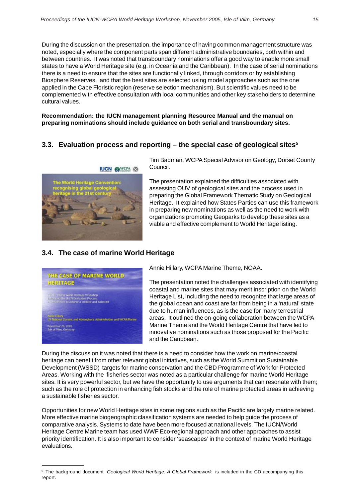During the discussion on the presentation, the importance of having common management structure was noted, especially where the component parts span different administrative boundaries, both within and between countries. It was noted that transboundary nominations offer a good way to enable more small states to have a World Heritage site (e.g. in Oceania and the Caribbean). In the case of serial nominations there is a need to ensure that the sites are functionally linked, through corridors or by establishing Biosphere Reserves, and that the best sites are selected using model approaches such as the one applied in the Cape Floristic region (reserve selection mechanism). But scientific values need to be complemented with effective consultation with local communities and other key stakeholders to determine cultural values.

**Recommendation: the IUCN management planning Resource Manual and the manual on preparing nominations should include guidance on both serial and transboundary sites.**

#### **3.3. Evaluation process and reporting – the special case of geological sites5**



Tim Badman, WCPA Special Advisor on Geology, Dorset County Council.

The presentation explained the difficulties associated with assessing OUV of geological sites and the process used in preparing the Global Framework Thematic Study on Geological Heritage. It explained how States Parties can use this framework in preparing new nominations as well as the need to work with organizations promoting Geoparks to develop these sites as a viable and effective complement to World Heritage listing.

### **3.4. The case of marine World Heritage**



Annie Hillary, WCPA Marine Theme, NOAA.

The presentation noted the challenges associated with identifying coastal and marine sites that may merit inscription on the World Heritage List, including the need to recognize that large areas of the global ocean and coast are far from being in a 'natural' state due to human influences, as is the case for many terrestrial areas. It outlined the on-going collaboration between the WCPA Marine Theme and the World Heritage Centre that have led to innovative nominations such as those proposed for the Pacific and the Caribbean.

During the discussion it was noted that there is a need to consider how the work on marine/coastal heritage can benefit from other relevant global initiatives, such as the World Summit on Sustainable Development (WSSD) targets for marine conservation and the CBD Programme of Work for Protected Areas. Working with the fisheries sector was noted as a particular challenge for marine World Heritage sites. It is very powerful sector, but we have the opportunity to use arguments that can resonate with them; such as the role of protection in enhancing fish stocks and the role of marine protected areas in achieving a sustainable fisheries sector.

Opportunities for new World Heritage sites in some regions such as the Pacific are largely marine related. More effective marine biogeographic classification systems are needed to help guide the process of comparative analysis. Systems to date have been more focused at national levels. The IUCN/World Heritage Centre Marine team has used WWF Eco-regional approach and other approaches to assist priority identification. It is also important to consider 'seascapes' in the context of marine World Heritage evaluations.

<sup>5.</sup> The background document *Geological World Heritage: A Global Framework* is included in the CD accompanying this report.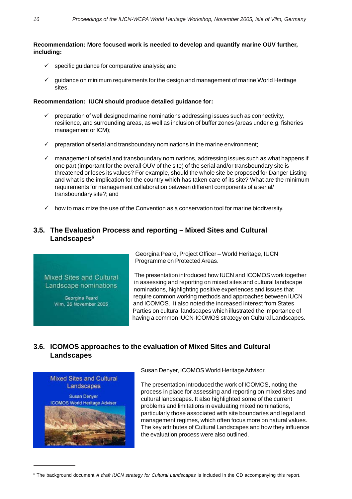#### **Recommendation: More focused work is needed to develop and quantify marine OUV further, including:**

- $\checkmark$  specific guidance for comparative analysis; and
- 9 guidance on minimum requirements for the design and management of marine World Heritage sites.

#### **Recommendation: IUCN should produce detailed guidance for:**

- $\checkmark$  preparation of well designed marine nominations addressing issues such as connectivity, resilience, and surrounding areas, as well as inclusion of buffer zones (areas under e.g. fisheries management or ICM);
- preparation of serial and transboundary nominations in the marine environment;
- $\checkmark$  management of serial and transboundary nominations, addressing issues such as what happens if one part (important for the overall OUV of the site) of the serial and/or transboundary site is threatened or loses its values? For example, should the whole site be proposed for Danger Listing and what is the implication for the country which has taken care of its site? What are the minimum requirements for management collaboration between different components of a serial/ transboundary site?; and
- $\checkmark$  how to maximize the use of the Convention as a conservation tool for marine biodiversity.

#### **3.5. The Evaluation Process and reporting – Mixed Sites and Cultural** Landscapes<sup>6</sup>

#### Mixed Sites and Cultural Landscape nominations

Georgina Peard Vilm, 26 November 2005 Georgina Peard, Project Officer – World Heritage, IUCN Programme on Protected Areas.

The presentation introduced how IUCN and ICOMOS work together in assessing and reporting on mixed sites and cultural landscape nominations, highlighting positive experiences and issues that require common working methods and approaches between IUCN and ICOMOS. It also noted the increased interest from States Parties on cultural landscapes which illustrated the importance of having a common IUCN-ICOMOS strategy on Cultural Landscapes.

#### **3.6. ICOMOS approaches to the evaluation of Mixed Sites and Cultural Landscapes**



Susan Denyer, ICOMOS World Heritage Advisor.

The presentation introduced the work of ICOMOS, noting the process in place for assessing and reporting on mixed sites and cultural landscapes. It also highlighted some of the current problems and limitations in evaluating mixed nominations, particularly those associated with site boundaries and legal and management regimes, which often focus more on natural values. The key attributes of Cultural Landscapes and how they influence the evaluation process were also outlined.

<sup>6</sup> The background document *A draft IUCN strategy for Cultural Landscapes* is included in the CD accompanying this report.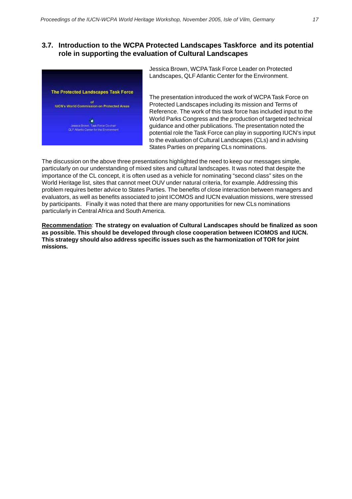#### **3.7. Introduction to the WCPA Protected Landscapes Taskforce and its potential role in supporting the evaluation of Cultural Landscapes**



Jessica Brown, WCPA Task Force Leader on Protected Landscapes, QLF Atlantic Center for the Environment.

The presentation introduced the work of WCPA Task Force on Protected Landscapes including its mission and Terms of Reference. The work of this task force has included input to the World Parks Congress and the production of targeted technical guidance and other publications. The presentation noted the potential role the Task Force can play in supporting IUCN's input to the evaluation of Cultural Landscapes (CLs) and in advising States Parties on preparing CLs nominations.

The discussion on the above three presentations highlighted the need to keep our messages simple, particularly on our understanding of mixed sites and cultural landscapes. It was noted that despite the importance of the CL concept, it is often used as a vehicle for nominating "second class" sites on the World Heritage list, sites that cannot meet OUV under natural criteria, for example. Addressing this problem requires better advice to States Parties. The benefits of close interaction between managers and evaluators, as well as benefits associated to joint ICOMOS and IUCN evaluation missions, were stressed by participants. Finally it was noted that there are many opportunities for new CLs nominations particularly in Central Africa and South America.

**Recommendation**: **The strategy on evaluation of Cultural Landscapes should be finalized as soon as possible. This should be developed through close cooperation between ICOMOS and IUCN. This strategy should also address specific issues such as the harmonization of TOR for joint missions.**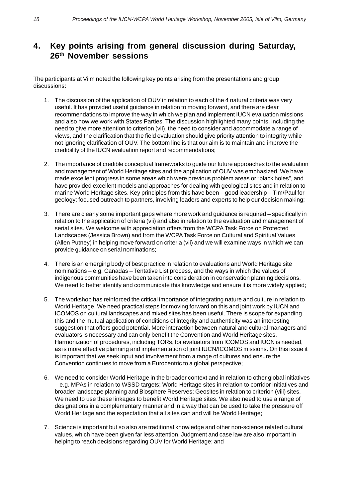### **4. Key points arising from general discussion during Saturday, 26th November sessions**

The participants at Vilm noted the following key points arising from the presentations and group discussions:

- 1. The discussion of the application of OUV in relation to each of the 4 natural criteria was very useful. It has provided useful guidance in relation to moving forward, and there are clear recommendations to improve the way in which we plan and implement IUCN evaluation missions and also how we work with States Parties. The discussion highlighted many points, including the need to give more attention to criterion (vii), the need to consider and accommodate a range of views, and the clarification that the field evaluation should give priority attention to integrity while not ignoring clarification of OUV. The bottom line is that our aim is to maintain and improve the credibility of the IUCN evaluation report and recommendations;
- 2. The importance of credible conceptual frameworks to guide our future approaches to the evaluation and management of World Heritage sites and the application of OUV was emphasized. We have made excellent progress in some areas which were previous problem areas or "black holes", and have provided excellent models and approaches for dealing with geological sites and in relation to marine World Heritage sites. Key principles from this have been – good leadership – Tim/Paul for geology; focused outreach to partners, involving leaders and experts to help our decision making;
- 3. There are clearly some important gaps where more work and guidance is required specifically in relation to the application of criteria (vii) and also in relation to the evaluation and management of serial sites. We welcome with appreciation offers from the WCPA Task Force on Protected Landscapes (Jessica Brown) and from the WCPA Task Force on Cultural and Spiritual Values (Allen Putney) in helping move forward on criteria (vii) and we will examine ways in which we can provide guidance on serial nominations;
- 4. There is an emerging body of best practice in relation to evaluations and World Heritage site nominations – e.g. Canadas – Tentative List process, and the ways in which the values of indigenous communities have been taken into consideration in conservation planning decisions. We need to better identify and communicate this knowledge and ensure it is more widely applied;
- 5. The workshop has reinforced the critical importance of integrating nature and culture in relation to World Heritage. We need practical steps for moving forward on this and joint work by IUCN and ICOMOS on cultural landscapes and mixed sites has been useful. There is scope for expanding this and the mutual application of conditions of integrity and authenticity was an interesting suggestion that offers good potential. More interaction between natural and cultural managers and evaluators is necessary and can only benefit the Convention and World Heritage sites. Harmonization of procedures, including TORs, for evaluators from ICOMOS and IUCN is needed, as is more effective planning and implementation of joint IUCN/ICOMOS missions. On this issue it is important that we seek input and involvement from a range of cultures and ensure the Convention continues to move from a Eurocentric to a global perspective;
- 6. We need to consider World Heritage in the broader context and in relation to other global initiatives – e.g. MPAs in relation to WSSD targets; World Heritage sites in relation to corridor initiatives and broader landscape planning and Biosphere Reserves; Geosites in relation to criterion (viii) sites. We need to use these linkages to benefit World Heritage sites. We also need to use a range of designations in a complementary manner and in a way that can be used to take the pressure off World Heritage and the expectation that all sites can and will be World Heritage;
- 7. Science is important but so also are traditional knowledge and other non-science related cultural values, which have been given far less attention. Judgment and case law are also important in helping to reach decisions regarding OUV for World Heritage; and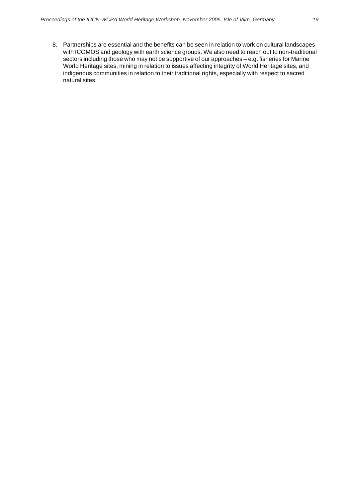8. Partnerships are essential and the benefits can be seen in relation to work on cultural landscapes with ICOMOS and geology with earth science groups. We also need to reach out to non-traditional sectors including those who may not be supportive of our approaches – e.g. fisheries for Marine World Heritage sites, mining in relation to issues affecting integrity of World Heritage sites, and indigenous communities in relation to their traditional rights, especially with respect to sacred natural sites.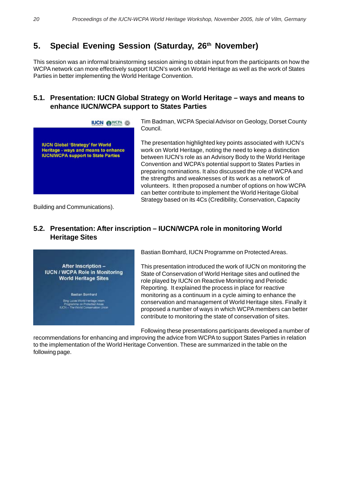## 5. Special Evening Session (Saturday, 26<sup>th</sup> November)

This session was an informal brainstorming session aiming to obtain input from the participants on how the WCPA network can more effectively support IUCN's work on World Heritage as well as the work of States Parties in better implementing the World Heritage Convention.

#### **5.1. Presentation: IUCN Global Strategy on World Heritage – ways and means to enhance IUCN/WCPA support to States Parties**



Tim Badman, WCPA Special Advisor on Geology, Dorset County Council.

The presentation highlighted key points associated with IUCN's work on World Heritage, noting the need to keep a distinction between IUCN's role as an Advisory Body to the World Heritage Convention and WCPA's potential support to States Parties in preparing nominations. It also discussed the role of WCPA and the strengths and weaknesses of its work as a network of volunteers. It then proposed a number of options on how WCPA can better contribute to implement the World Heritage Global Strategy based on its 4Cs (Credibility, Conservation, Capacity

Building and Communications).

#### **5.2. Presentation: After inscription – IUCN/WCPA role in monitoring World Heritage Sites**



Bastian Bomhard, IUCN Programme on Protected Areas.

This presentation introduced the work of IUCN on monitoring the State of Conservation of World Heritage sites and outlined the role played by IUCN on Reactive Monitoring and Periodic Reporting. It explained the process in place for reactive monitoring as a continuum in a cycle aiming to enhance the conservation and management of World Heritage sites. Finally it proposed a number of ways in which WCPA members can better contribute to monitoring the state of conservation of sites.

Following these presentations participants developed a number of

recommendations for enhancing and improving the advice from WCPA to support States Parties in relation to the implementation of the World Heritage Convention. These are summarized in the table on the following page.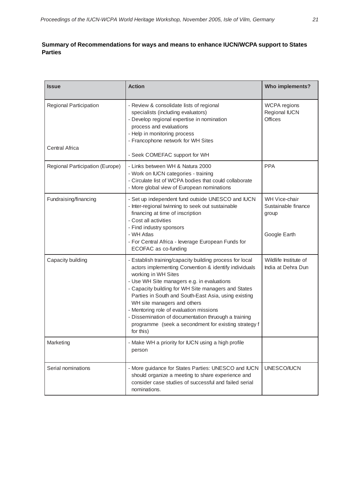#### **Summary of Recommendations for ways and means to enhance IUCN/WCPA support to States Parties**

| <b>Issue</b>                                    | <b>Action</b>                                                                                                                                                                                                                                                                                                                                                                                                                                                                                                | <b>Who implements?</b>                                        |
|-------------------------------------------------|--------------------------------------------------------------------------------------------------------------------------------------------------------------------------------------------------------------------------------------------------------------------------------------------------------------------------------------------------------------------------------------------------------------------------------------------------------------------------------------------------------------|---------------------------------------------------------------|
| Regional Participation<br><b>Central Africa</b> | - Review & consolidate lists of regional<br>specialists (including evaluators)<br>- Develop regional expertise in nomination<br>process and evaluations<br>- Help in monitoring process<br>- Francophone network for WH Sites<br>- Seek COMEFAC support for WH                                                                                                                                                                                                                                               | WCPA regions<br>Regional IUCN<br><b>Offices</b>               |
| Regional Participation (Europe)                 | - Links between WH & Natura 2000<br>- Work on IUCN categories - training<br>- Circulate list of WCPA bodies that could collaborate<br>- More global view of European nominations                                                                                                                                                                                                                                                                                                                             | <b>PPA</b>                                                    |
| Fundraising/financing                           | - Set up independent fund outside UNESCO and IUCN<br>- Inter-regional twinning to seek out sustainable<br>financing at time of inscription<br>- Cost all activities<br>- Find industry sponsors<br>- WH Atlas<br>- For Central Africa - leverage European Funds for<br>ECOFAC as co-funding                                                                                                                                                                                                                  | WH Vice-chair<br>Sustainable finance<br>group<br>Google Earth |
| Capacity building                               | - Establish training/capacity building process for local<br>actors implementing Convention & identify individuals<br>working in WH Sites<br>- Use WH Site managers e.g. in evaluations<br>- Capacity building for WH Site managers and States<br>Parties in South and South-East Asia, using existing<br>WH site managers and others<br>- Mentoring role of evaluation missions<br>- Dissemination of documentation thruough a training<br>programme (seek a secondment for existing strategy f<br>for this) | Wildlife Institute of<br>India at Dehra Dun                   |
| Marketing                                       | - Make WH a priority for IUCN using a high profile<br>person                                                                                                                                                                                                                                                                                                                                                                                                                                                 |                                                               |
| Serial nominations                              | - More guidance for States Parties: UNESCO and IUCN<br>should organize a meeting to share experience and<br>consider case studies of successful and failed serial<br>nominations.                                                                                                                                                                                                                                                                                                                            | UNESCO/IUCN                                                   |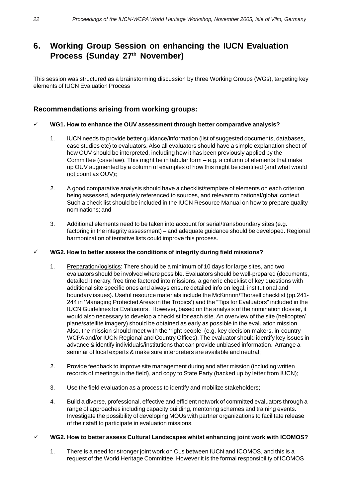## **6. Working Group Session on enhancing the IUCN Evaluation** Process (Sunday 27<sup>th</sup> November)

This session was structured as a brainstorming discussion by three Working Groups (WGs), targeting key elements of IUCN Evaluation Process

#### **Recommendations arising from working groups:**

#### 9 **WG1. How to enhance the OUV assessment through better comparative analysis?**

- 1. IUCN needs to provide better guidance/information (list of suggested documents, databases, case studies etc) to evaluators. Also all evaluators should have a simple explanation sheet of how OUV should be interpreted, including how it has been previously applied by the Committee (case law). This might be in tabular form – e.g. a column of elements that make up OUV augmented by a column of examples of how this might be identified (and what would not count as OUV)**;**
- 2. A good comparative analysis should have a checklist/template of elements on each criterion being assessed, adequately referenced to sources, and relevant to national/global context. Such a check list should be included in the IUCN Resource Manual on how to prepare quality nominations; and
- 3. Additional elements need to be taken into account for serial/transboundary sites (e.g. factoring in the integrity assessment) – and adequate guidance should be developed. Regional harmonization of tentative lists could improve this process.

#### 9 **WG2. How to better assess the conditions of integrity during field missions?**

- 1. Preparation/logistics: There should be a minimum of 10 days for large sites, and two evaluators should be involved where possible. Evaluators should be well-prepared (documents, detailed itinerary, free time factored into missions, a generic checklist of key questions with additional site specific ones and always ensure detailed info on legal, institutional and boundary issues). Useful resource materials include the McKinnon/Thorsell checklist (pp.241- 244 in 'Managing Protected Areas in the Tropics') and the "Tips for Evaluators" included in the IUCN Guidelines for Evaluators. However, based on the analysis of the nomination dossier, it would also necessary to develop a checklist for each site. An overview of the site (helicopter/ plane/satellite imagery) should be obtained as early as possible in the evaluation mission. Also, the mission should meet with the 'right people' (e.g. key decision makers, in-country WCPA and/or IUCN Regional and Country Offices). The evaluator should identify key issues in advance & identify individuals/institutions that can provide unbiased information. Arrange a seminar of local experts & make sure interpreters are available and neutral;
- 2. Provide feedback to improve site management during and after mission (including written records of meetings in the field), and copy to State Party (backed up by letter from IUCN);
- 3. Use the field evaluation as a process to identify and mobilize stakeholders;
- 4. Build a diverse, professional, effective and efficient network of committed evaluators through a range of approaches including capacity building, mentoring schemes and training events. Investigate the possibility of developing MOUs with partner organizations to facilitate release of their staff to participate in evaluation missions.

#### 9 **WG2. How to better assess Cultural Landscapes whilst enhancing joint work with ICOMOS?**

1. There is a need for stronger joint work on CLs between IUCN and ICOMOS, and this is a request of the World Heritage Committee. However it is the formal responsibility of ICOMOS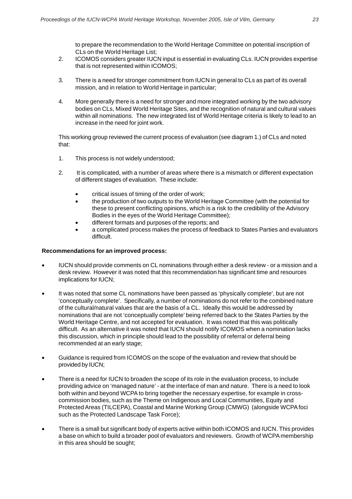to prepare the recommendation to the World Heritage Committee on potential inscription of CLs on the World Heritage List;

- 2. ICOMOS considers greater IUCN input is essential in evaluating CLs. IUCN provides expertise that is not represented within ICOMOS;
- 3. There is a need for stronger commitment from IUCN in general to CLs as part of its overall mission, and in relation to World Heritage in particular;
- 4. More generally there is a need for stronger and more integrated working by the two advisory bodies on CLs, Mixed World Heritage Sites, and the recognition of natural and cultural values within all nominations. The new integrated list of World Heritage criteria is likely to lead to an increase in the need for joint work.

This working group reviewed the current process of evaluation (see diagram 1.) of CLs and noted that:

- 1. This process is not widely understood;
- 2. It is complicated, with a number of areas where there is a mismatch or different expectation of different stages of evaluation. These include:
	- critical issues of timing of the order of work;
	- the production of two outputs to the World Heritage Committee (with the potential for these to present conflicting opinions, which is a risk to the credibility of the Advisory Bodies in the eyes of the World Heritage Committee);
	- different formats and purposes of the reports; and
	- a complicated process makes the process of feedback to States Parties and evaluators difficult.

#### **Recommendations for an improved process:**

- IUCN should provide comments on CL nominations through either a desk review or a mission and a desk review. However it was noted that this recommendation has significant time and resources implications for IUCN;
- It was noted that some CL nominations have been passed as 'physically complete', but are not 'conceptually complete'. Specifically, a number of nominations do not refer to the combined nature of the cultural/natural values that are the basis of a CL. Ideally this would be addressed by nominations that are not 'conceptually complete' being referred back to the States Parties by the World Heritage Centre, and not accepted for evaluation. It was noted that this was politically difficult. As an alternative it was noted that IUCN should notify ICOMOS when a nomination lacks this discussion, which in principle should lead to the possibility of referral or deferral being recommended at an early stage;
- Guidance is required from ICOMOS on the scope of the evaluation and review that should be provided by IUCN;
- There is a need for IUCN to broaden the scope of its role in the evaluation process, to include providing advice on 'managed nature' - at the interface of man and nature. There is a need to look both within and beyond WCPA to bring together the necessary expertise, for example in crosscommission bodies, such as the Theme on Indigenous and Local Communities, Equity and Protected Areas (TILCEPA), Coastal and Marine Working Group (CMWG) (alongside WCPA foci such as the Protected Landscape Task Force);
- There is a small but significant body of experts active within both ICOMOS and IUCN. This provides a base on which to build a broader pool of evaluators and reviewers. Growth of WCPA membership in this area should be sought;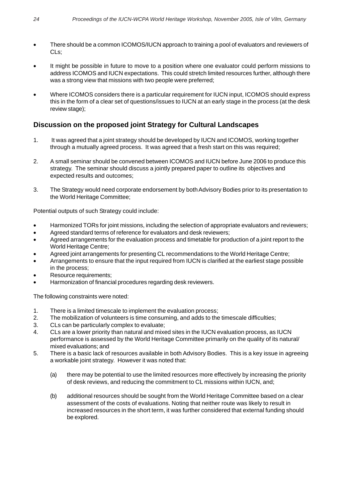- There should be a common ICOMOS/IUCN approach to training a pool of evaluators and reviewers of CLs;
- It might be possible in future to move to a position where one evaluator could perform missions to address ICOMOS and IUCN expectations. This could stretch limited resources further, although there was a strong view that missions with two people were preferred;
- Where ICOMOS considers there is a particular requirement for IUCN input, ICOMOS should express this in the form of a clear set of questions/issues to IUCN at an early stage in the process (at the desk review stage);

#### **Discussion on the proposed joint Strategy for Cultural Landscapes**

- 1. It was agreed that a joint strategy should be developed by IUCN and ICOMOS, working together through a mutually agreed process. It was agreed that a fresh start on this was required;
- 2. A small seminar should be convened between ICOMOS and IUCN before June 2006 to produce this strategy. The seminar should discuss a jointly prepared paper to outline its objectives and expected results and outcomes;
- 3. The Strategy would need corporate endorsement by both Advisory Bodies prior to its presentation to the World Heritage Committee;

Potential outputs of such Strategy could include:

- Harmonized TORs for joint missions, including the selection of appropriate evaluators and reviewers;
- Agreed standard terms of reference for evaluators and desk reviewers;
- Agreed arrangements for the evaluation process and timetable for production of a joint report to the World Heritage Centre;
- Agreed joint arrangements for presenting CL recommendations to the World Heritage Centre;
- Arrangements to ensure that the input required from IUCN is clarified at the earliest stage possible in the process;
- Resource requirements;
- Harmonization of financial procedures regarding desk reviewers.

The following constraints were noted:

- 1. There is a limited timescale to implement the evaluation process;
- 2. The mobilization of volunteers is time consuming, and adds to the timescale difficulties;
- 3. CLs can be particularly complex to evaluate;
- 4. CLs are a lower priority than natural and mixed sites in the IUCN evaluation process, as IUCN performance is assessed by the World Heritage Committee primarily on the quality of its natural/ mixed evaluations; and
- 5. There is a basic lack of resources available in both Advisory Bodies. This is a key issue in agreeing a workable joint strategy. However it was noted that:
	- (a) there may be potential to use the limited resources more effectively by increasing the priority of desk reviews, and reducing the commitment to CL missions within IUCN, and;
	- (b) additional resources should be sought from the World Heritage Committee based on a clear assessment of the costs of evaluations. Noting that neither route was likely to result in increased resources in the short term, it was further considered that external funding should be explored.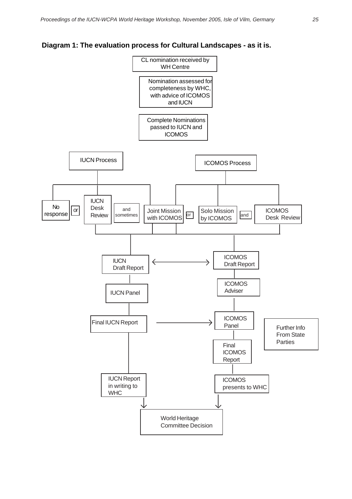

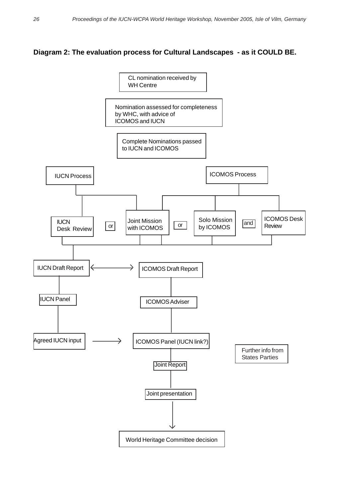#### **Diagram 2: The evaluation process for Cultural Landscapes - as it COULD BE.**

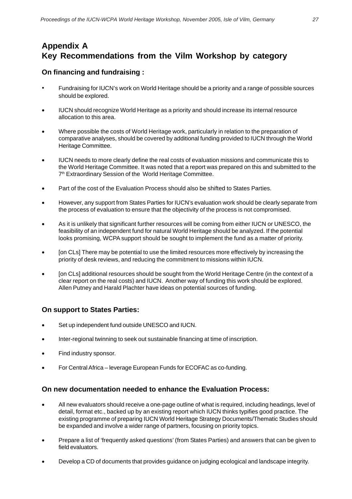# **Appendix A Key Recommendations from the Vilm Workshop by category**

#### **On financing and fundraising :**

- Fundraising for IUCN's work on World Heritage should be a priority and a range of possible sources should be explored.
- IUCN should recognize World Heritage as a priority and should increase its internal resource allocation to this area.
- Where possible the costs of World Heritage work, particularly in relation to the preparation of comparative analyses, should be covered by additional funding provided to IUCN through the World Heritage Committee.
- IUCN needs to more clearly define the real costs of evaluation missions and communicate this to the World Heritage Committee. It was noted that a report was prepared on this and submitted to the 7<sup>th</sup> Extraordinary Session of the World Heritage Committee.
- Part of the cost of the Evaluation Process should also be shifted to States Parties.
- However, any support from States Parties for IUCN's evaluation work should be clearly separate from the process of evaluation to ensure that the objectivity of the process is not compromised.
- As it is unlikely that significant further resources will be coming from either IUCN or UNESCO, the feasibility of an independent fund for natural World Heritage should be analyzed. If the potential looks promising, WCPA support should be sought to implement the fund as a matter of priority.
- [on CLs] There may be potential to use the limited resources more effectively by increasing the priority of desk reviews, and reducing the commitment to missions within IUCN.
- [on CLs] additional resources should be sought from the World Heritage Centre (in the context of a clear report on the real costs) and IUCN. Another way of funding this work should be explored. Allen Putney and Harald Plachter have ideas on potential sources of funding.

#### **On support to States Parties:**

- Set up independent fund outside UNESCO and IUCN.
- Inter-regional twinning to seek out sustainable financing at time of inscription.
- Find industry sponsor.
- For Central Africa leverage European Funds for ECOFAC as co-funding.

#### **On new documentation needed to enhance the Evaluation Process:**

- All new evaluators should receive a one-page outline of what is required, including headings, level of detail, format etc., backed up by an existing report which IUCN thinks typifies good practice. The existing programme of preparing IUCN World Heritage Strategy Documents/Thematic Studies should be expanded and involve a wider range of partners, focusing on priority topics.
- Prepare a list of 'frequently asked questions' (from States Parties) and answers that can be given to field evaluators.
- Develop a CD of documents that provides guidance on judging ecological and landscape integrity.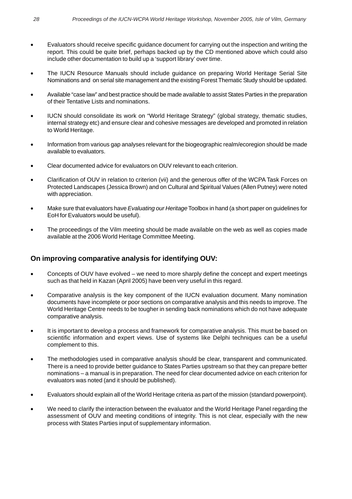- Evaluators should receive specific guidance document for carrying out the inspection and writing the report. This could be quite brief, perhaps backed up by the CD mentioned above which could also include other documentation to build up a 'support library' over time.
- The IUCN Resource Manuals should include guidance on preparing World Heritage Serial Site Nominations and on serial site management and the existing Forest Thematic Study should be updated.
- Available "case law" and best practice should be made available to assist States Parties in the preparation of their Tentative Lists and nominations.
- IUCN should consolidate its work on "World Heritage Strategy" (global strategy, thematic studies, internal strategy etc) and ensure clear and cohesive messages are developed and promoted in relation to World Heritage.
- Information from various gap analyses relevant for the biogeographic realm/ecoregion should be made available to evaluators.
- Clear documented advice for evaluators on OUV relevant to each criterion.
- Clarification of OUV in relation to criterion (vii) and the generous offer of the WCPA Task Forces on Protected Landscapes (Jessica Brown) and on Cultural and Spiritual Values (Allen Putney) were noted with appreciation.
- Make sure that evaluators have *Evaluating our Heritage* Toolbox in hand (a short paper on guidelines for EoH for Evaluators would be useful).
- The proceedings of the Vilm meeting should be made available on the web as well as copies made available at the 2006 World Heritage Committee Meeting.

#### **On improving comparative analysis for identifying OUV:**

- Concepts of OUV have evolved we need to more sharply define the concept and expert meetings such as that held in Kazan (April 2005) have been very useful in this regard.
- Comparative analysis is the key component of the IUCN evaluation document. Many nomination documents have incomplete or poor sections on comparative analysis and this needs to improve. The World Heritage Centre needs to be tougher in sending back nominations which do not have adequate comparative analysis.
- It is important to develop a process and framework for comparative analysis. This must be based on scientific information and expert views. Use of systems like Delphi techniques can be a useful complement to this.
- The methodologies used in comparative analysis should be clear, transparent and communicated. There is a need to provide better guidance to States Parties upstream so that they can prepare better nominations – a manual is in preparation. The need for clear documented advice on each criterion for evaluators was noted (and it should be published).
- Evaluators should explain all of the World Heritage criteria as part of the mission (standard powerpoint).
- We need to clarify the interaction between the evaluator and the World Heritage Panel regarding the assessment of OUV and meeting conditions of integrity. This is not clear, especially with the new process with States Parties input of supplementary information.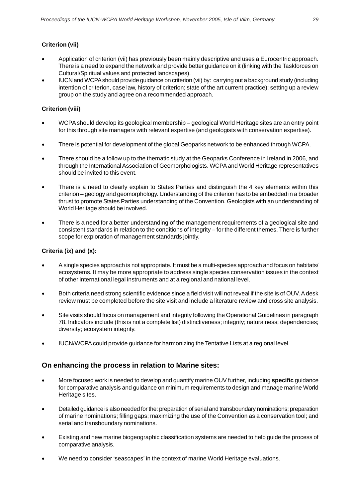#### **Criterion (vii)**

- Application of criterion (vii) has previously been mainly descriptive and uses a Eurocentric approach. There is a need to expand the network and provide better guidance on it (linking with the Taskforces on Cultural/Spiritual values and protected landscapes).
- IUCN and WCPA should provide guidance on criterion (vii) by: carrying out a background study (including intention of criterion, case law, history of criterion; state of the art current practice); setting up a review group on the study and agree on a recommended approach.

#### **Criterion (viii)**

- WCPA should develop its geological membership geological World Heritage sites are an entry point for this through site managers with relevant expertise (and geologists with conservation expertise).
- There is potential for development of the global Geoparks network to be enhanced through WCPA.
- There should be a follow up to the thematic study at the Geoparks Conference in Ireland in 2006, and through the International Association of Geomorphologists. WCPA and World Heritage representatives should be invited to this event.
- There is a need to clearly explain to States Parties and distinguish the 4 key elements within this criterion – geology and geomorphology. Understanding of the criterion has to be embedded in a broader thrust to promote States Parties understanding of the Convention. Geologists with an understanding of World Heritage should be involved.
- There is a need for a better understanding of the management requirements of a geological site and consistent standards in relation to the conditions of integrity – for the different themes. There is further scope for exploration of management standards jointly.

#### **Criteria (ix) and (x):**

- A single species approach is not appropriate. It must be a multi-species approach and focus on habitats/ ecosystems. It may be more appropriate to address single species conservation issues in the context of other international legal instruments and at a regional and national level.
- Both criteria need strong scientific evidence since a field visit will not reveal if the site is of OUV. A desk review must be completed before the site visit and include a literature review and cross site analysis.
- Site visits should focus on management and integrity following the Operational Guidelines in paragraph 78. Indicators include (this is not a complete list) distinctiveness; integrity; naturalness; dependencies; diversity; ecosystem integrity.
- IUCN/WCPA could provide guidance for harmonizing the Tentative Lists at a regional level.

#### **On enhancing the process in relation to Marine sites:**

- More focused work is needed to develop and quantify marine OUV further, including **specific** guidance for comparative analysis and guidance on minimum requirements to design and manage marine World Heritage sites.
- Detailed guidance is also needed for the: preparation of serial and transboundary nominations; preparation of marine nominations; filling gaps; maximizing the use of the Convention as a conservation tool; and serial and transboundary nominations.
- Existing and new marine biogeographic classification systems are needed to help guide the process of comparative analysis.
- We need to consider 'seascapes' in the context of marine World Heritage evaluations.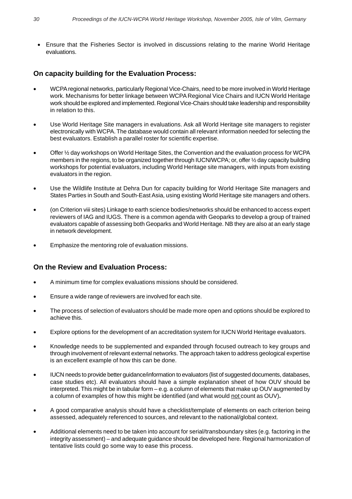• Ensure that the Fisheries Sector is involved in discussions relating to the marine World Heritage evaluations.

#### **On capacity building for the Evaluation Process:**

- WCPA regional networks, particularly Regional Vice-Chairs, need to be more involved in World Heritage work. Mechanisms for better linkage between WCPA Regional Vice Chairs and IUCN World Heritage work should be explored and implemented. Regional Vice-Chairs should take leadership and responsibility in relation to this.
- Use World Heritage Site managers in evaluations. Ask all World Heritage site managers to register electronically with WCPA. The database would contain all relevant information needed for selecting the best evaluators. Establish a parallel roster for scientific expertise.
- Offer ½ day workshops on World Heritage Sites, the Convention and the evaluation process for WCPA members in the regions, to be organized together through IUCN/WCPA; or, offer ½ day capacity building workshops for potential evaluators, including World Heritage site managers, with inputs from existing evaluators in the region.
- Use the Wildlife Institute at Dehra Dun for capacity building for World Heritage Site managers and States Parties in South and South-East Asia, using existing World Heritage site managers and others.
- (on Criterion viii sites) Linkage to earth science bodies/networks should be enhanced to access expert reviewers of IAG and IUGS. There is a common agenda with Geoparks to develop a group of trained evaluators capable of assessing both Geoparks and World Heritage. NB they are also at an early stage in network development.
- Emphasize the mentoring role of evaluation missions.

#### **On the Review and Evaluation Process:**

- A minimum time for complex evaluations missions should be considered.
- Ensure a wide range of reviewers are involved for each site.
- The process of selection of evaluators should be made more open and options should be explored to achieve this.
- Explore options for the development of an accreditation system for IUCN World Heritage evaluators.
- Knowledge needs to be supplemented and expanded through focused outreach to key groups and through involvement of relevant external networks. The approach taken to address geological expertise is an excellent example of how this can be done.
- IUCN needs to provide better guidance/information to evaluators (list of suggested documents, databases, case studies etc). All evaluators should have a simple explanation sheet of how OUV should be interpreted. This might be in tabular form – e.g. a column of elements that make up OUV augmented by a column of examples of how this might be identified (and what would not count as OUV)**.**
- A good comparative analysis should have a checklist/template of elements on each criterion being assessed, adequately referenced to sources, and relevant to the national/global context.
- Additional elements need to be taken into account for serial/transboundary sites (e.g. factoring in the integrity assessment) – and adequate guidance should be developed here. Regional harmonization of tentative lists could go some way to ease this process.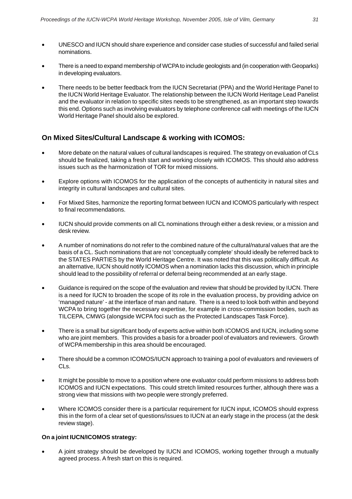- UNESCO and IUCN should share experience and consider case studies of successful and failed serial nominations.
- There is a need to expand membership of WCPA to include geologists and (in cooperation with Geoparks) in developing evaluators.
- There needs to be better feedback from the IUCN Secretariat (PPA) and the World Heritage Panel to the IUCN World Heritage Evaluator. The relationship between the IUCN World Heritage Lead Panelist and the evaluator in relation to specific sites needs to be strengthened, as an important step towards this end. Options such as involving evaluators by telephone conference call with meetings of the IUCN World Heritage Panel should also be explored.

#### **On Mixed Sites/Cultural Landscape & working with ICOMOS:**

- More debate on the natural values of cultural landscapes is required. The strategy on evaluation of CLs should be finalized, taking a fresh start and working closely with ICOMOS. This should also address issues such as the harmonization of TOR for mixed missions.
- Explore options with ICOMOS for the application of the concepts of authenticity in natural sites and integrity in cultural landscapes and cultural sites.
- For Mixed Sites, harmonize the reporting format between IUCN and ICOMOS particularly with respect to final recommendations.
- IUCN should provide comments on all CL nominations through either a desk review, or a mission and desk review.
- A number of nominations do not refer to the combined nature of the cultural/natural values that are the basis of a CL. Such nominations that are not 'conceptually complete' should ideally be referred back to the STATES PARTIES by the World Heritage Centre. It was noted that this was politically difficult. As an alternative, IUCN should notify ICOMOS when a nomination lacks this discussion, which in principle should lead to the possibility of referral or deferral being recommended at an early stage.
- Guidance is required on the scope of the evaluation and review that should be provided by IUCN. There is a need for IUCN to broaden the scope of its role in the evaluation process, by providing advice on 'managed nature' - at the interface of man and nature. There is a need to look both within and beyond WCPA to bring together the necessary expertise, for example in cross-commission bodies, such as TILCEPA, CMWG (alongside WCPA foci such as the Protected Landscapes Task Force).
- There is a small but significant body of experts active within both ICOMOS and IUCN, including some who are joint members. This provides a basis for a broader pool of evaluators and reviewers. Growth of WCPA membership in this area should be encouraged.
- There should be a common ICOMOS/IUCN approach to training a pool of evaluators and reviewers of CLs.
- It might be possible to move to a position where one evaluator could perform missions to address both ICOMOS and IUCN expectations. This could stretch limited resources further, although there was a strong view that missions with two people were strongly preferred.
- Where ICOMOS consider there is a particular requirement for IUCN input, ICOMOS should express this in the form of a clear set of questions/issues to IUCN at an early stage in the process (at the desk review stage).

#### **On a joint IUCN/ICOMOS strategy:**

• A joint strategy should be developed by IUCN and ICOMOS, working together through a mutually agreed process. A fresh start on this is required.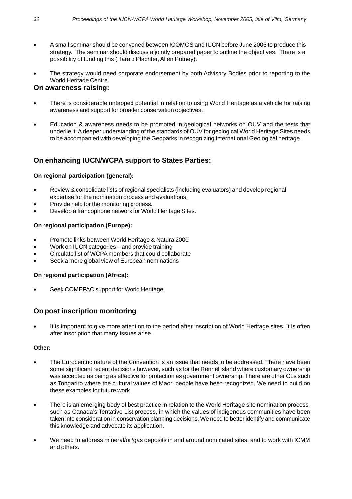- A small seminar should be convened between ICOMOS and IUCN before June 2006 to produce this strategy. The seminar should discuss a jointly prepared paper to outline the objectives. There is a possibility of funding this (Harald Plachter, Allen Putney).
- The strategy would need corporate endorsement by both Advisory Bodies prior to reporting to the World Heritage Centre.

#### **On awareness raising:**

- There is considerable untapped potential in relation to using World Heritage as a vehicle for raising awareness and support for broader conservation objectives.
- Education & awareness needs to be promoted in geological networks on OUV and the tests that underlie it. A deeper understanding of the standards of OUV for geological World Heritage Sites needs to be accompanied with developing the Geoparks in recognizing International Geological heritage.

### **On enhancing IUCN/WCPA support to States Parties:**

#### **On regional participation (general):**

- Review & consolidate lists of regional specialists (including evaluators) and develop regional expertise for the nomination process and evaluations.
- Provide help for the monitoring process.
- Develop a francophone network for World Heritage Sites.

#### **On regional participation (Europe):**

- Promote links between World Heritage & Natura 2000
- Work on IUCN categories and provide training
- Circulate list of WCPA members that could collaborate
- Seek a more global view of European nominations

#### **On regional participation (Africa):**

Seek COMEFAC support for World Heritage

#### **On post inscription monitoring**

It is important to give more attention to the period after inscription of World Heritage sites. It is often after inscription that many issues arise.

#### **Other:**

- The Eurocentric nature of the Convention is an issue that needs to be addressed. There have been some significant recent decisions however, such as for the Rennel Island where customary ownership was accepted as being as effective for protection as government ownership. There are other CLs such as Tongariro where the cultural values of Maori people have been recognized. We need to build on these examples for future work.
- There is an emerging body of best practice in relation to the World Heritage site nomination process, such as Canada's Tentative List process, in which the values of indigenous communities have been taken into consideration in conservation planning decisions. We need to better identify and communicate this knowledge and advocate its application.
- We need to address mineral/oil/gas deposits in and around nominated sites, and to work with ICMM and others.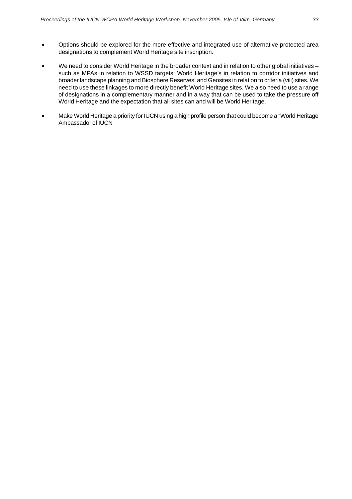- Options should be explored for the more effective and integrated use of alternative protected area designations to complement World Heritage site inscription.
- We need to consider World Heritage in the broader context and in relation to other global initiatives such as MPAs in relation to WSSD targets; World Heritage's in relation to corridor initiatives and broader landscape planning and Biosphere Reserves; and Geosites in relation to criteria (viii) sites. We need to use these linkages to more directly benefit World Heritage sites. We also need to use a range of designations in a complementary manner and in a way that can be used to take the pressure off World Heritage and the expectation that all sites can and will be World Heritage.
- Make World Heritage a priority for IUCN using a high profile person that could become a "World Heritage Ambassador of IUCN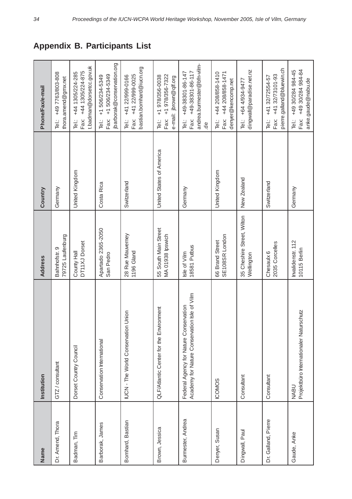| Name                | Institution                                                                            | <b>Address</b>                           | Country                  | Phone/Fax/e-mail                                                                                |  |
|---------------------|----------------------------------------------------------------------------------------|------------------------------------------|--------------------------|-------------------------------------------------------------------------------------------------|--|
| Dr. Amend, Thora    | GTZ / consultant                                                                       | 79725 Laufenburg<br>Bahnhofstr. 9        | Germany                  | Tel: +49 7763/803-808<br>thora.amend@gmx.net                                                    |  |
| Badman, Tim         | Dorset Country Council                                                                 | DT11XJ Dorset<br>County Hall             | United Kingdom           | t.badman@dorsetcc.gov.uk<br>Fax: +44 1305/224-875<br>Tel.: +44 1305/224-285                     |  |
| Barborak, James     | Conservation International                                                             | Apartado 2365-2050<br>San Pedro          | Costa Rica               | jbarborak@conservation.org<br>Fax: +1 506/234-5349<br>+1506/234-5349<br>i<br>P                  |  |
| Bomhard, Bastian    | Union<br>IUCN - The World Conservation                                                 | 28 Rue Mauverney<br>1196 Gland           | Switzerland              | bastian.bomhard@iucn.org<br>Fax: +41 22/999-0025<br>+41 22/999-0166<br>i<br>Pei:                |  |
| Brown, Jessica      | QLF/Atlantic Center for the Environment                                                | 55 South Main Street<br>MA 01938 lpswich | United States of America | +1978/356-7322<br>+1 978/356-0038<br>e-mail: jbrown@qlf.org<br>Fax:<br>Tel.:                    |  |
| Burmester, Andrea   | Academy for Nature Conservation Isle of Vilm<br>Federal Agency for Nature Conservation | 18581 Putbus<br>Isle of Vilm             | Germany                  | andrea.burmester@bfn-vilm-<br>Fax: +49-38301-86-117<br>+49-38301-86-147<br>iel.:<br>$rac{6}{5}$ |  |
| Denyer, Susan       | <b>COMOS</b>                                                                           | SE108SR London<br>66 Brand Street        | United Kingdom           | Tel.: +44 208/858-1410<br>Fax: +44 208/858-1471<br>denyer@kencomp.net                           |  |
| Dingwall, Paul      | Consultant                                                                             | 35 Cheshire Street, Wilton<br>Wellington | New Zealand              | dingwall@paradise.net.nz<br>Tel.: +64 4/934-9477                                                |  |
| Dr. Galland, Pierre | Consultant                                                                             | 2035 Corcelles<br>Chesaulx 6             | Switzerland              | pierre.galland@bluewin.ch<br>+41 32/73101-93<br>+41 32/72554-57<br>Fax:<br>ieï.                 |  |
| Gaude, Anke         | Projektbüro Internationaler Naturschutz<br><b>NABU</b>                                 | Invalidenstr. 112<br>10115 Berlin        | Germany                  | +49 30/284 984-84<br>+49 30/284 984-45<br>Fax:<br>Tel.:                                         |  |

# **Appendix B. Participants List**

anke.gaude@nabu.de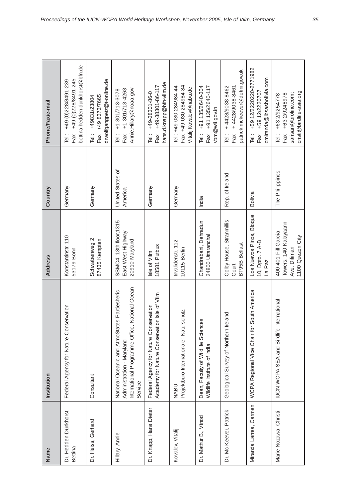| Name                             | Institution                                                                                                                               | Address                                                                          | Country                     | Phone/Fax/e-mail                                                                                      |
|----------------------------------|-------------------------------------------------------------------------------------------------------------------------------------------|----------------------------------------------------------------------------------|-----------------------------|-------------------------------------------------------------------------------------------------------|
| Dr. Hedden-Dunkhorst,<br>Bettina | Federal Agency for Nature Conservation                                                                                                    | Konstantinstr. 110<br>53179 Bonn                                                 | Germany                     | bettina.hedden-dunkhorst@bfn.de<br>Fax: +49 (0)228/8491-245<br>+49 (0) 228/8491-239<br>i<br>P         |
| Dr. Heiss, Gerhard               | Consultant                                                                                                                                | Schwabenweg 2<br>87435 Kempten                                                   | Germany                     | drwolfgangpetz@t-online.de<br>Fax: +49 8373/7665<br>Tel.: +49831/23804                                |
| Hillary, Annie                   | National Ocean<br>National Oceanic and AtmoStates Partiesheric<br>International Programme Office,<br>Administration - Maryland<br>Service | SSMC4, 13th floor, 1315<br>East West Highway<br>20910 Maryland                   | United States of<br>America | Annie.Hillary@noaa.gov<br>Fax: +1 301/713-4263<br>+1 301/713-3078<br>i<br>P                           |
| Dr. Knapp, Hans Dieter           | Academy for Nature Conservation Isle of Vilm<br>Federal Agency for Nature Conservation                                                    | 18581 Putbus<br>Isle of Vilm                                                     | Germany                     | hans.d.knapp@bfn-vilm.de<br>+49-38301-86-117<br>+49-38301-86-0<br>Fax:<br>iei.<br>Tei                 |
| Kovalev, Vitalij                 | Projektbüro Internationaler Naturschutz<br><b>NABU</b>                                                                                    | Invalidenstr. 112<br>10115 Berlin                                                | Germany                     | Fax: +49 030-284984 84<br>Tel: +49 030-284984 44<br>Vitalij.Kovalev@nabu.de                           |
| Dr. Mathur B., Vinod             | Dean, Faculty of Wildlife Sciences<br>Wildlife Institute of India                                                                         | Chandrabani, Dehradun<br>24800 Uttaranchal                                       | India                       | +91 135/2640-304<br>Fax: +91 135/2640-117<br>vbm@wii.gov.in<br>-<br>直                                 |
| Dr. Mc Keever, Patrick           | Geological Survey of Northern Ireland                                                                                                     | Colby House, Stranmillis<br><b>BT95B Belfast</b><br>Court                        | Rep. of Ireland             | patrick.mckeever@detini.gov.uk<br>Tel: $+4428/9038-8462$<br>Fax: +4428/9038-8461                      |
| Miranda Larrea, Carmen           | South America<br>WCPA Regional Vice Chair for                                                                                             | Los Nuevos Pinos, Bloque<br>10, Dpto. 7 A-B<br>La Paz                            | <b>Bolivia</b>              | +59 12/2220220-2771982<br>cmiranda@lbsasbolivia.com<br>Fax: +59 12/2220707<br>…<br>戸                  |
| Marie Nozawa, Christi            | IUCN WCPA SEA and Birdlife International                                                                                                  | Towers, 140 Kalayaann<br>400-401 Fill Garcia<br>1100 Quezon City<br>Ave. Diliman | The Philippines             | cristi@birdlife-asia.org<br>sarisari@broline.com;<br>+63 2/9248978<br>+63 2/9254778<br>Fax:<br>i<br>P |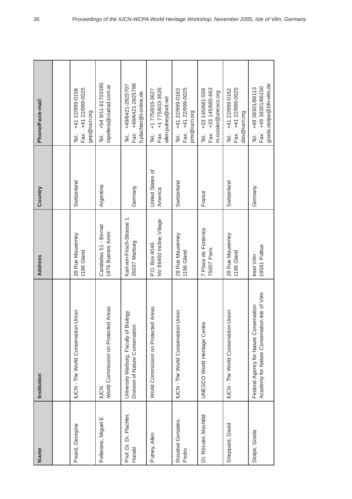| Name                              | Institution                                                                            | <b>Address</b>                             | Country                     | Phone/Fax/e-mail                                                               |  |
|-----------------------------------|----------------------------------------------------------------------------------------|--------------------------------------------|-----------------------------|--------------------------------------------------------------------------------|--|
|                                   |                                                                                        |                                            |                             |                                                                                |  |
| Peard, Georgina                   | Union<br>IUCN - The World Conservation                                                 | 28 Rue Mauverney<br>1196 Gland             | Switzerland                 | Fax: +41 22/999-0025<br>+41 22/999-0158<br>gep@iucn.org<br>i<br>P              |  |
| Pellerano, Miguel E.              | World Commission on Protected Areas<br><b>NON</b>                                      | Carabelas 51 - Bernal<br>1876 Buenos Aires | Argentina                   | Tel: +54 9/11-61703395<br>mpellera@ciudad.com.ar                               |  |
| Prof. Dr. Dr. Plachter,<br>Harald | iology<br>Division of Nature Conservation<br>University Marburg, Faculty of Bi         | Karl-von-Frisch-Strasse 1<br>35037 Marburg | Germany                     | Fax: +49/6421-2825798<br>+49/6421-2825707<br>h.plachter@t-online.de<br>i<br>P  |  |
| Putney, Allen                     | World Commission on Protected Areas                                                    | NV 89450 Incline Village<br>P.O. Box 4046  | United States of<br>America | Fax: +1 775/833-3626<br>Tel: +1 775/833-3627<br>allen.putney@att.net           |  |
| Rosabal Gonzales,<br>Pedro        | Union<br>UCN - The World Conservation                                                  | 28 Rue Mauverney<br>1196 Gland             | Switzerland                 | Fax: +41 22/999-0025<br>Tel: +41 22/999-0163<br>pmr@iucn.org                   |  |
| Dr. Rössler, Mechtild             | UNESCO World Heritage Centre                                                           | 7 Place de Fontenoy<br>75007 Paris         | France                      | Fax: +33 145/685-663<br>Tel: +33 145/681-559<br>m.rossler@unesco.org           |  |
| Sheppard, David                   | Union<br><b>UCN-The World Conservation</b>                                             | 28 Rue Mauverney<br>1196 Gland             | Switzerland                 | Fax: +41 22/999-0025<br>+41 22/999-0162<br>das@iucn.org<br>Tei:                |  |
| Stolpe, Gisela                    | Academy for Nature Conservation Isle of Vilm<br>Federal Agency for Nature Conservation | 18581 Putbus<br>Insel Vilm                 | Germany                     | gisela.stolpe@bfn-vilm.de<br>Fax: +49 38301/86150<br>+49 38301/86113<br>…<br>回 |  |